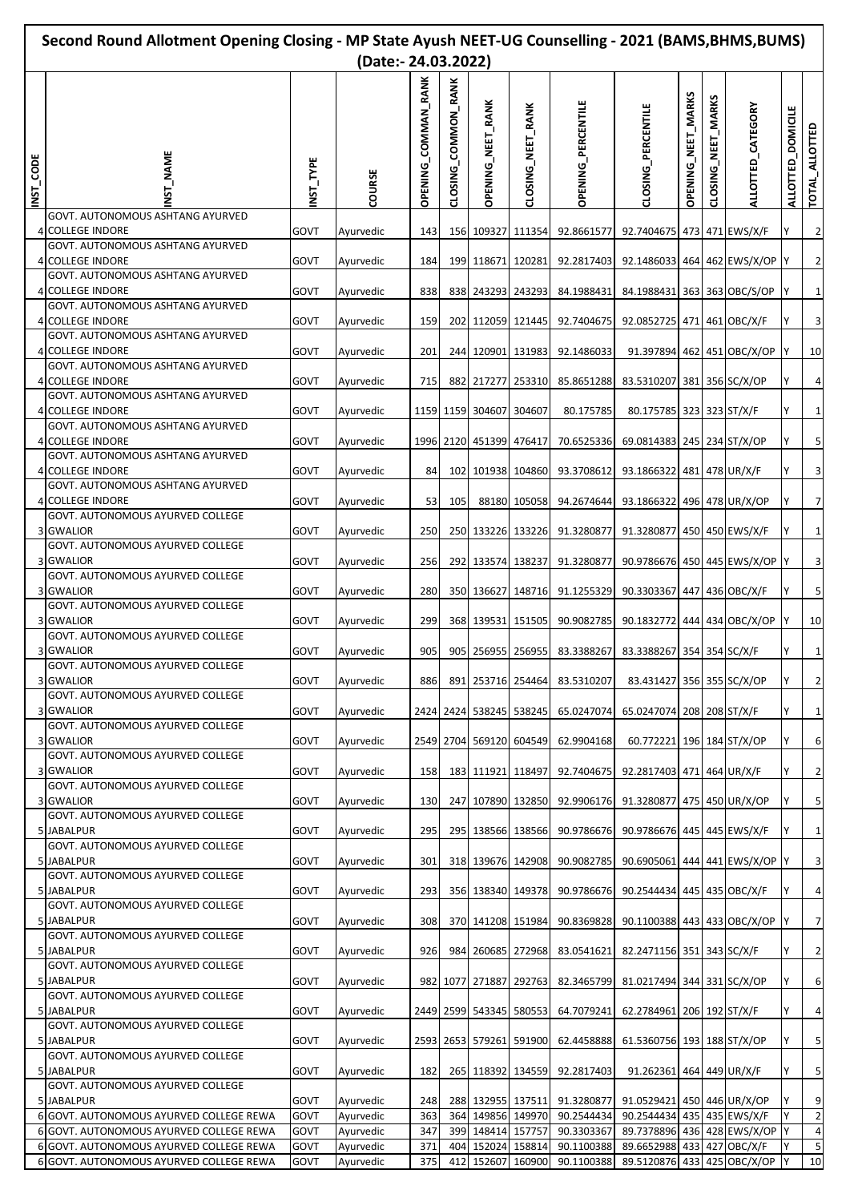|          | Second Round Allotment Opening Closing - MP State Ayush NEET-UG Counselling - 2021 (BAMS, BHMS, BUMS)<br>(Date:- 24.03.2022) |              |                        |                               |                     |                         |                         |                                                         |                                                             |                    |                        |                            |                   |                         |
|----------|------------------------------------------------------------------------------------------------------------------------------|--------------|------------------------|-------------------------------|---------------------|-------------------------|-------------------------|---------------------------------------------------------|-------------------------------------------------------------|--------------------|------------------------|----------------------------|-------------------|-------------------------|
| NST_CODE | $M$ AME                                                                                                                      | TYPE<br>ΣĹ   | COURSE                 | COMMAN RANK<br><b>OPENING</b> | CLOSING_COMMON_RANK | OPENING_NEET_RANK       | CLOSING_NEET_RANK       | <b>OPENING_PERCENTILE</b>                               | CLOSING_PERCENTILE                                          | OPENING_NEET_MARKS | _MARKS<br>CLOSING_NEET | ALLOTTED_CATEGORY          | ALLOTTED_DOMICILE | TOTAL_ALLOTTED          |
|          | GOVT. AUTONOMOUS ASHTANG AYURVED<br>4 COLLEGE INDORE<br>GOVT. AUTONOMOUS ASHTANG AYURVED                                     | GOVT         | Ayurvedic              | 143                           |                     |                         | 156 109327 111354       | 92.8661577                                              | 92.7404675 473 471 EWS/X/F                                  |                    |                        |                            | Y                 | $\overline{2}$          |
|          | 4 COLLEGE INDORE                                                                                                             | GOVT         | Ayurvedic              | 184                           |                     |                         | 199 118671 120281       | 92.2817403                                              | 92.1486033 464 462 EWS/X/OP                                 |                    |                        |                            |                   | $\overline{2}$          |
|          | <b>GOVT. AUTONOMOUS ASHTANG AYURVED</b><br>4 COLLEGE INDORE<br>GOVT. AUTONOMOUS ASHTANG AYURVED                              | GOVT         | Ayurvedic              | 838                           |                     |                         | 838 243293 243293       | 84.1988431                                              | 84.1988431 363 363 OBC/S/OP                                 |                    |                        |                            |                   | $\mathbf{1}$            |
|          | 4 COLLEGE INDORE                                                                                                             | GOVT         | Ayurvedic              | 159                           | 202                 |                         | 112059 121445           | 92.7404675                                              | 92.0852725 471 461 OBC/X/F                                  |                    |                        |                            |                   | 3                       |
|          | <b>GOVT. AUTONOMOUS ASHTANG AYURVED</b><br>4 COLLEGE INDORE                                                                  | GOVT         | Ayurvedic              | 201                           |                     |                         | 244 120901 131983       | 92.1486033                                              |                                                             |                    |                        | 91.397894 462 451 OBC/X/OP |                   | 10                      |
|          | GOVT. AUTONOMOUS ASHTANG AYURVED<br>4 COLLEGE INDORE                                                                         | GOVT         | Ayurvedic              | 715                           | 882                 |                         | 217277 253310           | 85.8651288                                              | 83.5310207 381 356 SC/X/OP                                  |                    |                        |                            |                   | 4                       |
|          | GOVT. AUTONOMOUS ASHTANG AYURVED<br>4 COLLEGE INDORE                                                                         | GOVT         | Ayurvedic              |                               |                     | 1159 1159 304607 304607 |                         | 80.175785                                               | 80.175785 323 323 ST/X/F                                    |                    |                        |                            |                   | $\mathbf{1}$            |
|          | <b>GOVT. AUTONOMOUS ASHTANG AYURVED</b><br>4 COLLEGE INDORE                                                                  | GOVT         | Ayurvedic              |                               |                     |                         | 1996 2120 451399 476417 | 70.6525336                                              | 69.0814383 245 234 ST/X/OP                                  |                    |                        |                            |                   | 5                       |
|          | GOVT. AUTONOMOUS ASHTANG AYURVED                                                                                             |              |                        |                               |                     |                         |                         |                                                         |                                                             |                    |                        |                            |                   |                         |
|          | 4 COLLEGE INDORE<br>GOVT. AUTONOMOUS ASHTANG AYURVED                                                                         | GOVT         | Ayurvedic              | 84                            | 102                 |                         | 101938 104860           | 93.3708612                                              | 93.1866322 481 478 UR/X/F                                   |                    |                        |                            |                   | 3                       |
|          | 4 COLLEGE INDORE<br><b>GOVT. AUTONOMOUS AYURVED COLLEGE</b>                                                                  | GOVT         | Ayurvedic              | 53                            | 105                 |                         | 88180 105058            | 94.2674644                                              | 93.1866322 496 478 UR/X/OP                                  |                    |                        |                            |                   | $\overline{7}$          |
|          | 3 GWALIOR<br>GOVT. AUTONOMOUS AYURVED COLLEGE                                                                                | GOVT         | Ayurvedic              | 250                           |                     |                         | 250 133226 133226       | 91.3280877                                              | 91.3280877 450 450 EWS/X/F                                  |                    |                        |                            |                   | $\mathbf{1}$            |
|          | 3 GWALIOR                                                                                                                    | GOVT         | Ayurvedic              | 256                           | 292                 |                         | 133574 138237           | 91.3280877                                              | 90.9786676 450 445 EWS/X/OP                                 |                    |                        |                            |                   | 3                       |
|          | GOVT. AUTONOMOUS AYURVED COLLEGE<br>3 GWALIOR                                                                                | GOVT         | Ayurvedic              | 280                           |                     |                         | 350 136627 148716       | 91.1255329                                              | 90.3303367 447 436 OBC/X/F                                  |                    |                        |                            |                   | 5                       |
|          | GOVT. AUTONOMOUS AYURVED COLLEGE<br>3 GWALIOR                                                                                | GOVT         | Ayurvedic              | 299                           |                     |                         | 368 139531 151505       | 90.9082785                                              | 90.1832772 444 434 OBC/X/OP                                 |                    |                        |                            |                   | 10                      |
|          | GOVT. AUTONOMOUS AYURVED COLLEGE<br>3 GWALIOR                                                                                | GOVT         | Ayurvedic              | 905                           |                     |                         | 905 256955 256955       | 83.3388267                                              | 83.3388267 354 354 SC/X/F                                   |                    |                        |                            |                   | 1                       |
|          | GOVT. AUTONOMOUS AYURVED COLLEGE                                                                                             |              |                        |                               |                     |                         |                         |                                                         |                                                             |                    |                        |                            |                   |                         |
|          | 3 GWALIOR<br>GOVT. AUTONOMOUS AYURVED COLLEGE                                                                                | GOVT         | Ayurvedic              | 886                           |                     |                         |                         | 891 253716 254464 83.5310207                            | 83.431427 356 355 SC/X/OP                                   |                    |                        |                            | Y                 | $\overline{2}$          |
|          | 3 GWALIOR<br>GOVT. AUTONOMOUS AYURVED COLLEGE                                                                                | GOVT         | Ayurvedic              |                               |                     |                         | 2424 2424 538245 538245 | 65.0247074                                              | 65.0247074 208 208 ST/X/F                                   |                    |                        |                            | Y                 | $\mathbf{1}$            |
|          | 3 GWALIOR<br>GOVT. AUTONOMOUS AYURVED COLLEGE                                                                                | GOVT         | Ayurvedic              |                               |                     |                         | 2549 2704 569120 604549 | 62.9904168                                              | 60.772221 196 184 ST/X/OP                                   |                    |                        |                            |                   | 6                       |
|          | 3 GWALIOR                                                                                                                    | GOVT         | Ayurvedic              | 158                           |                     |                         | 183 111921 118497       | 92.7404675                                              | 92.2817403 471 464 UR/X/F                                   |                    |                        |                            |                   | $\overline{2}$          |
|          | GOVT. AUTONOMOUS AYURVED COLLEGE<br>3 GWALIOR                                                                                | GOVT         | Ayurvedic              | 130                           |                     |                         |                         | 247 107890 132850 92.9906176 91.3280877 475 450 UR/X/OP |                                                             |                    |                        |                            |                   | 5                       |
|          | GOVT. AUTONOMOUS AYURVED COLLEGE<br>5 JABALPUR                                                                               | GOVT         | Ayurvedic              | 295                           |                     |                         | 295 138566 138566       | 90.9786676                                              | 90.9786676 445 445 EWS/X/F                                  |                    |                        |                            | Y                 | $\mathbf{1}$            |
|          | GOVT. AUTONOMOUS AYURVED COLLEGE<br>5 JABALPUR                                                                               | GOVT         | Ayurvedic              | 301                           |                     |                         | 318 139676 142908       | 90.9082785                                              | 90.6905061 444 441 EWS/X/OP                                 |                    |                        |                            |                   | $\overline{\mathbf{3}}$ |
|          | GOVT. AUTONOMOUS AYURVED COLLEGE<br>5 JABALPUR                                                                               | GOVT         | Ayurvedic              | 293                           |                     |                         | 356 138340 149378       | 90.9786676                                              | 90.2544434 445 435 OBC/X/F                                  |                    |                        |                            | Y                 | 4                       |
|          | GOVT. AUTONOMOUS AYURVED COLLEGE                                                                                             | GOVT         |                        | 308                           |                     |                         | 370 141208 151984       | 90.8369828                                              | 90.1100388 443 433 OBC/X/OP                                 |                    |                        |                            |                   | $\overline{7}$          |
|          | 5 JABALPUR<br>GOVT. AUTONOMOUS AYURVED COLLEGE                                                                               |              | Ayurvedic              |                               |                     |                         |                         |                                                         |                                                             |                    |                        |                            |                   |                         |
|          | 5 JABALPUR<br>GOVT. AUTONOMOUS AYURVED COLLEGE                                                                               | GOVT         | Ayurvedic              | 926                           |                     |                         | 984 260685 272968       | 83.0541621                                              | 82.2471156 351 343 SC/X/F                                   |                    |                        |                            | Y                 | $\overline{2}$          |
|          | 5 JABALPUR<br>GOVT. AUTONOMOUS AYURVED COLLEGE                                                                               | GOVT         | Ayurvedic              |                               | 982 1077            |                         | 271887 292763           | 82.3465799                                              | 81.0217494 344 331 SC/X/OP                                  |                    |                        |                            |                   | 6                       |
|          | 5 JABALPUR<br>GOVT. AUTONOMOUS AYURVED COLLEGE                                                                               | GOVT         | Ayurvedic              |                               |                     |                         | 2449 2599 543345 580553 | 64.7079241                                              | 62.2784961 206 192 ST/X/F                                   |                    |                        |                            | Y                 | 4                       |
|          | 5 JABALPUR                                                                                                                   | GOVT         | Ayurvedic              |                               |                     |                         | 2593 2653 579261 591900 | 62.4458888                                              | 61.5360756 193 188 ST/X/OP                                  |                    |                        |                            |                   | 5                       |
|          | GOVT. AUTONOMOUS AYURVED COLLEGE<br>5 JABALPUR                                                                               | GOVT         | Ayurvedic              | 182                           |                     |                         | 265 118392 134559       | 92.2817403                                              | 91.262361 464 449 UR/X/F                                    |                    |                        |                            | Y                 | 5                       |
|          | GOVT. AUTONOMOUS AYURVED COLLEGE<br>5 JABALPUR                                                                               | GOVT         | Ayurvedic              | 248                           |                     |                         | 288 132955 137511       | 91.3280877                                              | 91.0529421 450 446 UR/X/OP                                  |                    |                        |                            |                   | 9                       |
|          | 6 GOVT. AUTONOMOUS AYURVED COLLEGE REWA                                                                                      | GOVT         | Ayurvedic              | 363                           |                     |                         | 364 149856 149970       | 90.2544434                                              | 90.2544434 435 435 EWS/X/F                                  |                    |                        |                            | Y                 | $\overline{2}$          |
|          | 6 GOVT. AUTONOMOUS AYURVED COLLEGE REWA<br>6 GOVT. AUTONOMOUS AYURVED COLLEGE REWA                                           | GOVT<br>GOVT | Ayurvedic<br>Ayurvedic | 347<br>371                    |                     | 399 148414 157757       | 404 152024 158814       | 90.3303367<br>90.1100388                                | 89.7378896 436 428 EWS/X/OP Y<br>89.6652988 433 427 OBC/X/F |                    |                        |                            |                   | $\overline{4}$<br>5     |
|          | 6 GOVT. AUTONOMOUS AYURVED COLLEGE REWA                                                                                      | GOVT         | Ayurvedic              | 375                           |                     |                         | 412 152607 160900       | 90.1100388                                              | 89.5120876 433 425 OBC/X/OP                                 |                    |                        |                            |                   | 10                      |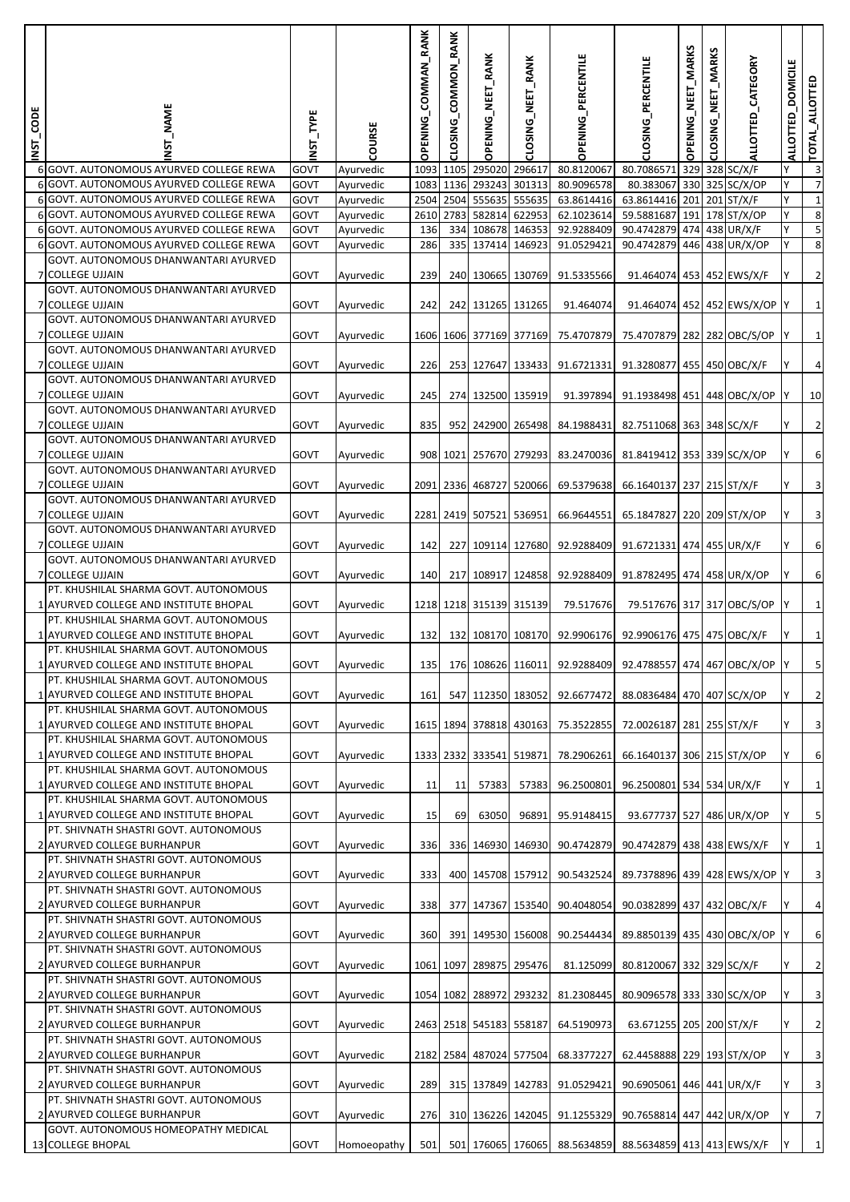| <b>INST_CODE</b> | ST NAME                                                                                          | NST_TYPE     | COURSE                 | OPENING_COMMAN_RANK | CLOSING_COMMON_RANK | OPENING_NEET_RANK       | CLOSING_NEET_RANK       | <b>OPENING_PERCENTILE</b>                                       | CLOSING_PERCENTILE                      | OPENING_NEET_MARKS | NEET_MARKS<br>CLOSING | ALLOTTED_CATEGORY            | <b>DOMICILE</b><br><b>ALLOTTED</b> | TOTAL_ALLOTTED            |
|------------------|--------------------------------------------------------------------------------------------------|--------------|------------------------|---------------------|---------------------|-------------------------|-------------------------|-----------------------------------------------------------------|-----------------------------------------|--------------------|-----------------------|------------------------------|------------------------------------|---------------------------|
|                  | 6 GOVT. AUTONOMOUS AYURVED COLLEGE REWA                                                          | GOVT         | Ayurvedic              |                     | 1093 1105           | 295020 296617           |                         | 80.8120067                                                      | 80.7086571                              |                    |                       | 329 328 SC/X/F               |                                    | $\overline{3}$            |
|                  | 6 GOVT. AUTONOMOUS AYURVED COLLEGE REWA                                                          | GOVT         | Ayurvedic              |                     | 1083 1136           |                         | 293243 301313           | 80.9096578                                                      | 80.383067                               |                    |                       | 330 325 SC/X/OP              |                                    | $\overline{7}$            |
|                  | 6 GOVT. AUTONOMOUS AYURVED COLLEGE REWA<br>6 GOVT. AUTONOMOUS AYURVED COLLEGE REWA               | GOVT<br>GOVT | Ayurvedic<br>Ayurvedic |                     | 2610 2783           | 582814 622953           | 2504 2504 555635 555635 | 63.8614416<br>62.1023614                                        | 63.8614416 201 201 ST/X/F<br>59.5881687 | 191                |                       | 178 ST/X/OP                  | Y<br>Y                             | 1<br>8                    |
|                  | 6 GOVT. AUTONOMOUS AYURVED COLLEGE REWA                                                          | GOVT         | Ayurvedic              | 136                 | 334                 | 108678 146353           |                         | 92.9288409                                                      | 90.4742879 474 438 UR/X/F               |                    |                       |                              |                                    | 5                         |
|                  | 6 GOVT. AUTONOMOUS AYURVED COLLEGE REWA                                                          | GOVT         | Ayurvedic              | 286                 | 335                 |                         | 137414 146923           | 91.0529421                                                      | 90.4742879                              |                    |                       | 446 438 UR/X/OP              | Y                                  | 8                         |
|                  | GOVT. AUTONOMOUS DHANWANTARI AYURVED<br>7 COLLEGE UJJAIN<br>GOVT. AUTONOMOUS DHANWANTARI AYURVED | GOVT         | Ayurvedic              | 239                 |                     |                         | 240 130665 130769       | 91.5335566                                                      | 91.464074 453 452 EWS/X/F               |                    |                       |                              | Υ                                  | $\overline{2}$            |
|                  | <b>7 COLLEGE UJJAIN</b>                                                                          | GOVT         | Ayurvedic              | 242                 |                     | 242 131265 131265       |                         | 91.464074                                                       |                                         |                    |                       | 91.464074 452 452 EWS/X/OP Y |                                    | $1\vert$                  |
|                  | GOVT. AUTONOMOUS DHANWANTARI AYURVED<br>7 COLLEGE UJJAIN<br>GOVT. AUTONOMOUS DHANWANTARI AYURVED | GOVT         | Ayurvedic              |                     |                     |                         | 1606 1606 377169 377169 | 75.4707879                                                      | 75.4707879 282 282 OBC/S/OP             |                    |                       |                              | I٢                                 | $1\vert$                  |
|                  | 7 COLLEGE UJJAIN                                                                                 | GOVT         | Ayurvedic              | 226                 |                     |                         | 253 127647 133433       | 91.6721331                                                      | 91.3280877 455 450 OBC/X/F              |                    |                       |                              |                                    | $\pmb{4}$                 |
|                  | GOVT. AUTONOMOUS DHANWANTARI AYURVED                                                             |              |                        |                     |                     |                         |                         |                                                                 |                                         |                    |                       |                              |                                    |                           |
|                  | 7 COLLEGE UJJAIN                                                                                 | GOVT         | Ayurvedic              | 245                 |                     |                         | 274 132500 135919       | 91.397894                                                       | 91.1938498 451 448 OBC/X/OP             |                    |                       |                              | IY.                                | 10                        |
|                  | GOVT. AUTONOMOUS DHANWANTARI AYURVED<br>7 COLLEGE UJJAIN                                         | GOVT         | Ayurvedic              | 835                 |                     |                         | 952 242900 265498       | 84.1988431                                                      | 82.7511068 363 348 SC/X/F               |                    |                       |                              |                                    | $\mathbf{2}$              |
|                  | GOVT. AUTONOMOUS DHANWANTARI AYURVED<br>7 COLLEGE UJJAIN                                         | GOVT         | Ayurvedic              |                     | 908 1021            |                         | 257670 279293           | 83.2470036                                                      | 81.8419412 353 339 SC/X/OP              |                    |                       |                              | Υ                                  | $6 \mid$                  |
|                  | GOVT. AUTONOMOUS DHANWANTARI AYURVED                                                             |              |                        |                     |                     |                         |                         |                                                                 |                                         |                    |                       |                              |                                    |                           |
|                  | 7 COLLEGE UJJAIN                                                                                 | GOVT         | Ayurvedic              |                     |                     |                         | 2091 2336 468727 520066 | 69.5379638                                                      | 66.1640137 237 215 ST/X/F               |                    |                       |                              |                                    | $\ensuremath{\mathsf{3}}$ |
|                  | GOVT. AUTONOMOUS DHANWANTARI AYURVED<br>7 COLLEGE UJJAIN                                         | GOVT         | Ayurvedic              |                     |                     | 2281 2419 507521 536951 |                         | 66.9644551                                                      | 65.1847827 220 209 ST/X/OP              |                    |                       |                              | Υ                                  | $\overline{\mathbf{3}}$   |
|                  | GOVT. AUTONOMOUS DHANWANTARI AYURVED                                                             |              |                        |                     |                     |                         |                         |                                                                 |                                         |                    |                       |                              |                                    |                           |
|                  | 7 COLLEGE UJJAIN<br>GOVT. AUTONOMOUS DHANWANTARI AYURVED                                         | GOVT         | Ayurvedic              | 142                 | 227                 |                         | 109114 127680           | 92.9288409                                                      | 91.6721331 474 455 UR/X/F               |                    |                       |                              |                                    | $6 \mid$                  |
|                  | 7 COLLEGE UJJAIN                                                                                 | GOVT         | Ayurvedic              | 140                 | 217                 |                         | 108917 124858           | 92.9288409                                                      | 91.8782495 474 458 UR/X/OP              |                    |                       |                              | Υ                                  | $6 \mid$                  |
|                  | PT. KHUSHILAL SHARMA GOVT. AUTONOMOUS                                                            |              |                        |                     |                     |                         |                         |                                                                 |                                         |                    |                       |                              |                                    |                           |
|                  | 1 AYURVED COLLEGE AND INSTITUTE BHOPAL                                                           | GOVT         | Ayurvedic              |                     |                     |                         | 1218 1218 315139 315139 | 79.517676                                                       | 79.517676 317 317 OBC/S/OP              |                    |                       |                              |                                    | $\mathbf 1$               |
|                  | PT. KHUSHILAL SHARMA GOVT. AUTONOMOUS                                                            |              |                        |                     |                     |                         |                         |                                                                 |                                         |                    |                       |                              |                                    |                           |
|                  | 1 AYURVED COLLEGE AND INSTITUTE BHOPAL                                                           | GOVT         | Ayurvedic              | 132                 |                     |                         | 132 108170 108170       | 92.9906176                                                      | 92.9906176 475 475 OBC/X/F              |                    |                       |                              |                                    | $1\vert$                  |
|                  | PT. KHUSHILAL SHARMA GOVT. AUTONOMOUS<br>1 AYURVED COLLEGE AND INSTITUTE BHOPAL                  | <b>GOVT</b>  | Ayurvedic              | 135                 |                     |                         |                         | 176  108626  116011  92.9288409  92.4788557  474  467  OBC/X/OP |                                         |                    |                       |                              |                                    | $\mathcal{P}$             |
|                  | PT. KHUSHILAL SHARMA GOVT. AUTONOMOUS                                                            |              |                        |                     |                     |                         |                         |                                                                 |                                         |                    |                       |                              |                                    |                           |
|                  | 1 AYURVED COLLEGE AND INSTITUTE BHOPAL                                                           | GOVT         | Ayurvedic              | 161                 |                     |                         |                         | 547 112350 183052 92.6677472                                    | 88.0836484 470 407 SC/X/OP              |                    |                       |                              | Y                                  | $\overline{2}$            |
|                  | PT. KHUSHILAL SHARMA GOVT. AUTONOMOUS                                                            |              |                        |                     |                     |                         |                         |                                                                 |                                         |                    |                       |                              |                                    |                           |
|                  | 1 AYURVED COLLEGE AND INSTITUTE BHOPAL                                                           | GOVT         | Ayurvedic              |                     |                     |                         | 1615 1894 378818 430163 | 75.3522855                                                      | 72.0026187 281 255 ST/X/F               |                    |                       |                              |                                    | $\overline{3}$            |
|                  | PT. KHUSHILAL SHARMA GOVT. AUTONOMOUS<br>1 AYURVED COLLEGE AND INSTITUTE BHOPAL                  | GOVT         | Ayurvedic              |                     |                     |                         | 1333 2332 333541 519871 | 78.2906261                                                      | 66.1640137 306 215 ST/X/OP              |                    |                       |                              | Y                                  | $\sqrt{6}$                |
|                  | PT. KHUSHILAL SHARMA GOVT. AUTONOMOUS                                                            |              |                        |                     |                     |                         |                         |                                                                 |                                         |                    |                       |                              |                                    |                           |
|                  | 1 AYURVED COLLEGE AND INSTITUTE BHOPAL                                                           | GOVT         | Ayurvedic              | 11                  | 11                  | 57383                   | 57383                   | 96.2500801                                                      | 96.2500801 534 534 UR/X/F               |                    |                       |                              |                                    | $1\overline{)}$           |
|                  | PT. KHUSHILAL SHARMA GOVT. AUTONOMOUS                                                            |              |                        |                     |                     |                         |                         |                                                                 |                                         |                    |                       |                              |                                    |                           |
|                  | 1 AYURVED COLLEGE AND INSTITUTE BHOPAL<br>PT. SHIVNATH SHASTRI GOVT. AUTONOMOUS                  | GOVT         | Ayurvedic              | 15                  | 69                  | 63050                   | 96891                   | 95.9148415                                                      | 93.677737 527 486 UR/X/OP               |                    |                       |                              | Y                                  | $\overline{\mathbf{5}}$   |
|                  | 2 AYURVED COLLEGE BURHANPUR                                                                      | GOVT         | Ayurvedic              | 336                 |                     |                         |                         | 336 146930 146930 90.4742879                                    | 90.4742879 438 438 EWS/X/F              |                    |                       |                              |                                    | $1\overline{)}$           |
|                  | PT. SHIVNATH SHASTRI GOVT. AUTONOMOUS                                                            |              |                        |                     |                     |                         |                         |                                                                 |                                         |                    |                       |                              |                                    |                           |
|                  | 2 AYURVED COLLEGE BURHANPUR                                                                      | GOVT         | Ayurvedic              | 333                 |                     |                         |                         | 400 145708 157912 90.5432524                                    | 89.7378896 439 428 EWS/X/OP Y           |                    |                       |                              |                                    | $\overline{3}$            |
|                  | PT. SHIVNATH SHASTRI GOVT. AUTONOMOUS                                                            |              |                        |                     |                     |                         |                         |                                                                 |                                         |                    |                       |                              |                                    |                           |
|                  | 2 AYURVED COLLEGE BURHANPUR<br>PT. SHIVNATH SHASTRI GOVT. AUTONOMOUS                             | GOVT         | Ayurvedic              | 338                 |                     |                         | 377 147367 153540       | 90.4048054                                                      | 90.0382899 437 432 OBC/X/F              |                    |                       |                              |                                    | $\overline{4}$            |
|                  | 2 AYURVED COLLEGE BURHANPUR                                                                      | GOVT         | Ayurvedic              | 360                 |                     |                         |                         | 391 149530 156008 90.2544434                                    | 89.8850139 435 430 OBC/X/OP             |                    |                       |                              | IY.                                | $\sqrt{6}$                |
|                  | PT. SHIVNATH SHASTRI GOVT. AUTONOMOUS                                                            |              |                        |                     |                     |                         |                         |                                                                 |                                         |                    |                       |                              |                                    |                           |
|                  | 2 AYURVED COLLEGE BURHANPUR                                                                      | GOVT         | Ayurvedic              |                     | 1061 1097           |                         | 289875 295476           | 81.125099                                                       | 80.8120067 332 329 SC/X/F               |                    |                       |                              |                                    | $\overline{2}$            |
|                  | PT. SHIVNATH SHASTRI GOVT. AUTONOMOUS                                                            |              |                        |                     |                     |                         |                         |                                                                 |                                         |                    |                       |                              |                                    |                           |
|                  | 2 AYURVED COLLEGE BURHANPUR<br>PT. SHIVNATH SHASTRI GOVT. AUTONOMOUS                             | GOVT         | Ayurvedic              |                     | 1054 1082           |                         | 288972 293232           | 81.2308445                                                      | 80.9096578 333 330 SC/X/OP              |                    |                       |                              | Y                                  | $\overline{3}$            |
|                  | 2 AYURVED COLLEGE BURHANPUR                                                                      | GOVT         | Ayurvedic              |                     |                     | 2463 2518 545183 558187 |                         | 64.5190973                                                      | 63.671255 205 200 ST/X/F                |                    |                       |                              |                                    | $\overline{2}$            |
|                  | PT. SHIVNATH SHASTRI GOVT. AUTONOMOUS                                                            |              |                        |                     |                     |                         |                         |                                                                 |                                         |                    |                       |                              |                                    |                           |
|                  | 2 AYURVED COLLEGE BURHANPUR                                                                      | GOVT         | Ayurvedic              |                     |                     |                         | 2182 2584 487024 577504 | 68.3377227                                                      | 62.4458888 229 193 ST/X/OP              |                    |                       |                              | Y                                  | $\overline{3}$            |
|                  | PT. SHIVNATH SHASTRI GOVT. AUTONOMOUS                                                            |              |                        |                     |                     |                         |                         |                                                                 |                                         |                    |                       |                              |                                    | $\overline{3}$            |
|                  | 2 AYURVED COLLEGE BURHANPUR<br>PT. SHIVNATH SHASTRI GOVT. AUTONOMOUS                             | GOVT         | Ayurvedic              | 289                 |                     |                         | 315 137849 142783       | 91.0529421                                                      | 90.6905061 446 441 UR/X/F               |                    |                       |                              |                                    |                           |
|                  | 2 AYURVED COLLEGE BURHANPUR                                                                      | GOVT         | Ayurvedic              | 276                 |                     |                         |                         | 310 136226 142045 91.1255329 90.7658814 447 442 UR/X/OP         |                                         |                    |                       |                              | Y                                  | $\overline{7}$            |
|                  | GOVT. AUTONOMOUS HOMEOPATHY MEDICAL                                                              |              |                        |                     |                     |                         |                         |                                                                 |                                         |                    |                       |                              |                                    |                           |
|                  | 13 COLLEGE BHOPAL                                                                                | GOVT         | Homoeopathy            | 501                 |                     |                         |                         | 501 176065 176065 88.5634859 88.5634859 413 413 EWS/X/F         |                                         |                    |                       |                              |                                    | $1\overline{)}$           |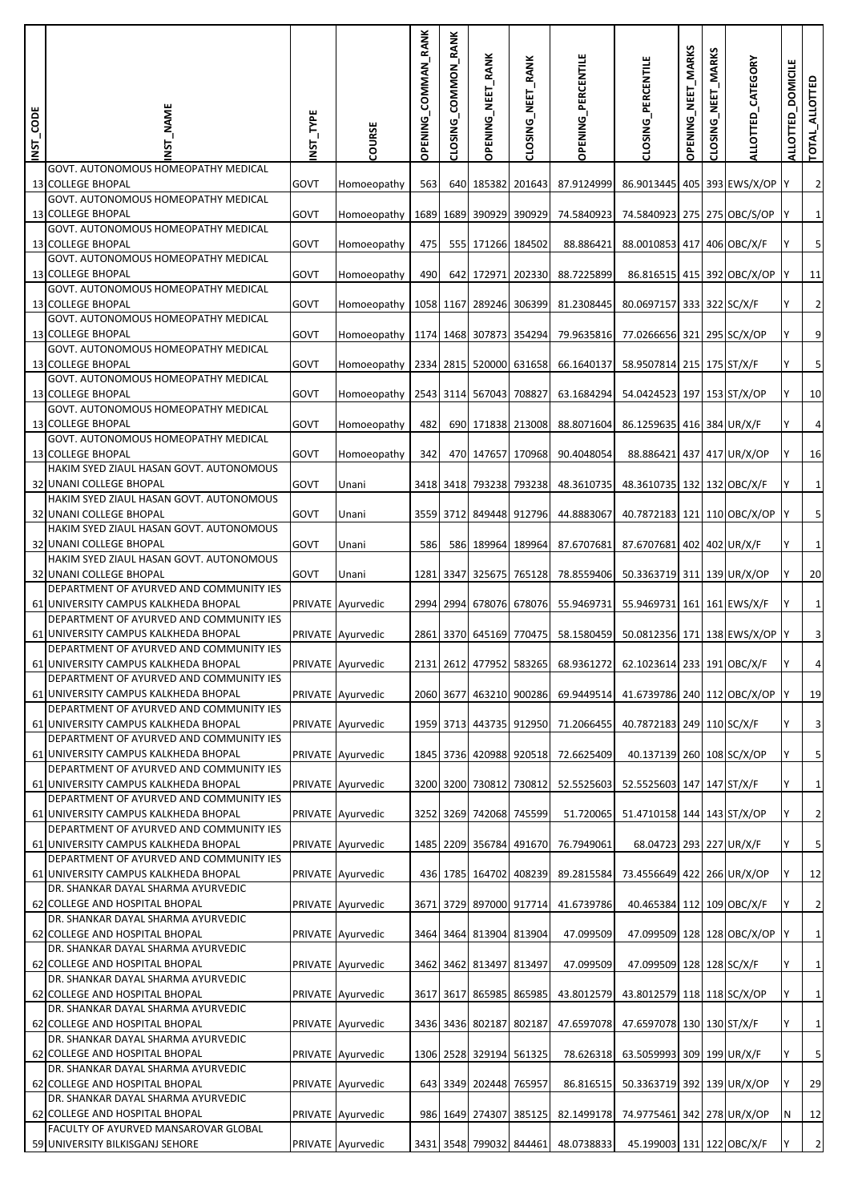| INST_CODE | MAME                                                                            | <b>INST_TYPE</b> | COURSE            | COMMAN_RANK<br><b>OPENING</b> | CLOSING_COMMON_RANK | OPENING_NEET_RANK       | CLOSING_NEET_RANK | <b>OPENING_PERCENTILE</b>                                     | CLOSING_PERCENTILE            | OPENING_NEET_MARKS | <b>MARKS</b><br>NEET<br>CLOSING | ALLOTTED_CATEGORY          | <b>DOMICILE</b><br><b>ALLOTTED</b> | TOTAL_ALLOTTED          |
|-----------|---------------------------------------------------------------------------------|------------------|-------------------|-------------------------------|---------------------|-------------------------|-------------------|---------------------------------------------------------------|-------------------------------|--------------------|---------------------------------|----------------------------|------------------------------------|-------------------------|
|           | GOVT. AUTONOMOUS HOMEOPATHY MEDICAL<br><b>13 COLLEGE BHOPAL</b>                 | <b>GOVT</b>      | Homoeopathy       | 563                           |                     | 640 185382 201643       |                   | 87.9124999                                                    | 86.9013445 405 393 EWS/X/OP   |                    |                                 |                            |                                    | $\overline{2}$          |
|           | GOVT. AUTONOMOUS HOMEOPATHY MEDICAL<br><b>13 COLLEGE BHOPAL</b>                 | <b>GOVT</b>      | Homoeopathy       |                               |                     | 1689 1689 390929 390929 |                   | 74.5840923                                                    | 74.5840923 275 275 OBC/S/OP   |                    |                                 |                            |                                    | $1\vert$                |
|           | GOVT. AUTONOMOUS HOMEOPATHY MEDICAL<br><b>13 COLLEGE BHOPAL</b>                 | GOVT             |                   | 475                           |                     | 555 171266 184502       |                   | 88.886421                                                     |                               |                    |                                 |                            |                                    | $\sf S$                 |
|           | GOVT. AUTONOMOUS HOMEOPATHY MEDICAL                                             |                  | Homoeopathy       |                               |                     |                         |                   |                                                               | 88.0010853 417 406 OBC/X/F    |                    |                                 |                            |                                    |                         |
|           | 13 COLLEGE BHOPAL<br>GOVT. AUTONOMOUS HOMEOPATHY MEDICAL                        | GOVT             | Homoeopathy       | 490                           |                     | 642 172971 202330       |                   | 88.7225899                                                    |                               |                    |                                 | 86.816515 415 392 OBC/X/OP |                                    | 11                      |
|           | <b>13 COLLEGE BHOPAL</b><br>GOVT. AUTONOMOUS HOMEOPATHY MEDICAL                 | <b>GOVT</b>      | Homoeopathy       |                               |                     | 1058 1167 289246 306399 |                   | 81.2308445                                                    | 80.0697157 333 322 SC/X/F     |                    |                                 |                            |                                    | $\overline{2}$          |
|           | <b>13 COLLEGE BHOPAL</b><br>GOVT. AUTONOMOUS HOMEOPATHY MEDICAL                 | <b>GOVT</b>      | Homoeopathy       |                               |                     | 1174 1468 307873 354294 |                   | 79.9635816                                                    | 77.0266656 321 295 SC/X/OP    |                    |                                 |                            |                                    | $\overline{9}$          |
|           | <b>13 COLLEGE BHOPAL</b><br>GOVT. AUTONOMOUS HOMEOPATHY MEDICAL                 | GOVT             | Homoeopathy       |                               |                     | 2334 2815 520000 631658 |                   | 66.1640137                                                    | 58.9507814 215 175 ST/X/F     |                    |                                 |                            |                                    | $\mathsf S$             |
|           | <b>13 COLLEGE BHOPAL</b><br>GOVT. AUTONOMOUS HOMEOPATHY MEDICAL                 | GOVT             | Homoeopathy       |                               |                     | 2543 3114 567043 708827 |                   | 63.1684294                                                    | 54.0424523 197 153 ST/X/OP    |                    |                                 |                            |                                    | 10                      |
|           | <b>13 COLLEGE BHOPAL</b>                                                        | <b>GOVT</b>      | Homoeopathy       | 482                           |                     | 690 171838 213008       |                   | 88.8071604                                                    | 86.1259635 416 384 UR/X/F     |                    |                                 |                            |                                    | $\overline{a}$          |
|           | GOVT. AUTONOMOUS HOMEOPATHY MEDICAL<br><b>13 COLLEGE BHOPAL</b>                 | GOVT             | Homoeopathy       | 342                           |                     | 470 147657 170968       |                   | 90.4048054                                                    | 88.886421 437 417 UR/X/OP     |                    |                                 |                            |                                    | 16                      |
|           | HAKIM SYED ZIAUL HASAN GOVT. AUTONOMOUS<br>32 UNANI COLLEGE BHOPAL              | GOVT             | Unani             |                               |                     | 3418 3418 793238 793238 |                   | 48.3610735                                                    | 48.3610735 132 132 OBC/X/F    |                    |                                 |                            |                                    | $1\overline{)}$         |
|           | HAKIM SYED ZIAUL HASAN GOVT. AUTONOMOUS<br>32 UNANI COLLEGE BHOPAL              | <b>GOVT</b>      | Unani             |                               |                     | 3559 3712 849448 912796 |                   | 44.8883067                                                    | 40.7872183 121 110 OBC/X/OP   |                    |                                 |                            |                                    | 5 <sub>l</sub>          |
|           | HAKIM SYED ZIAUL HASAN GOVT. AUTONOMOUS<br>32 UNANI COLLEGE BHOPAL              | <b>GOVT</b>      | Unani             | 586                           |                     | 586 189964 189964       |                   | 87.6707681                                                    | 87.6707681 402 402 UR/X/F     |                    |                                 |                            |                                    | $1\overline{)}$         |
|           | HAKIM SYED ZIAUL HASAN GOVT. AUTONOMOUS<br>32 UNANI COLLEGE BHOPAL              | <b>GOVT</b>      | Unani             |                               |                     | 1281 3347 325675 765128 |                   | 78.8559406                                                    | 50.3363719 311 139 UR/X/OP    |                    |                                 |                            |                                    | 20                      |
|           | DEPARTMENT OF AYURVED AND COMMUNITY IES<br>61 UNIVERSITY CAMPUS KALKHEDA BHOPAL |                  |                   |                               |                     |                         |                   |                                                               |                               |                    |                                 |                            |                                    |                         |
|           | DEPARTMENT OF AYURVED AND COMMUNITY IES                                         |                  | PRIVATE Ayurvedic |                               |                     |                         |                   | 2994 2994 678076 678076 55.9469731                            | 55.9469731 161 161 EWS/X/F    |                    |                                 |                            |                                    | $1\overline{)}$         |
|           | 61 UNIVERSITY CAMPUS KALKHEDA BHOPAL<br>DEPARTMENT OF AYURVED AND COMMUNITY IES |                  | PRIVATE Ayurvedic |                               |                     | 2861 3370 645169 770475 |                   | 58.1580459                                                    | 50.0812356 171 138 EWS/X/OP Y |                    |                                 |                            |                                    | $\overline{3}$          |
|           | 61 UNIVERSITY CAMPUS KALKHEDA BHOPAL<br>DEPARTMENT OF AYURVED AND COMMUNITY IES |                  | PRIVATE Ayurvedic |                               |                     |                         |                   | 2131 2612 477952 583265 68.9361272 62.1023614 233 191 OBC/X/F |                               |                    |                                 |                            |                                    |                         |
|           | 61 UNIVERSITY CAMPUS KALKHEDA BHOPAL<br>DEPARTMENT OF AYURVED AND COMMUNITY IES |                  | PRIVATE Ayurvedic |                               |                     | 2060 3677 463210 900286 |                   | 69.9449514                                                    | 41.6739786 240 112 OBC/X/OP Y |                    |                                 |                            |                                    | 19                      |
|           | 61 UNIVERSITY CAMPUS KALKHEDA BHOPAL<br>DEPARTMENT OF AYURVED AND COMMUNITY IES |                  | PRIVATE Ayurvedic |                               |                     |                         |                   | 1959 3713 443735 912950 71.2066455                            | 40.7872183 249 110 SC/X/F     |                    |                                 |                            |                                    | $\overline{\mathbf{3}}$ |
|           | 61 UNIVERSITY CAMPUS KALKHEDA BHOPAL<br>DEPARTMENT OF AYURVED AND COMMUNITY IES |                  | PRIVATE Ayurvedic |                               |                     |                         |                   | 1845 3736 420988 920518 72.6625409                            | 40.137139 260 108 SC/X/OP     |                    |                                 |                            |                                    | $\overline{5}$          |
|           | 61 UNIVERSITY CAMPUS KALKHEDA BHOPAL                                            |                  | PRIVATE Ayurvedic |                               |                     |                         |                   | 3200 3200 730812 730812 52.5525603                            | 52.5525603 147 147 ST/X/F     |                    |                                 |                            |                                    | $1\overline{)}$         |
|           | DEPARTMENT OF AYURVED AND COMMUNITY IES<br>61 UNIVERSITY CAMPUS KALKHEDA BHOPAL |                  | PRIVATE Ayurvedic |                               |                     | 3252 3269 742068 745599 |                   | 51.720065                                                     | 51.4710158 144 143 ST/X/OP    |                    |                                 |                            |                                    | $\overline{2}$          |
|           | DEPARTMENT OF AYURVED AND COMMUNITY IES<br>61 UNIVERSITY CAMPUS KALKHEDA BHOPAL |                  | PRIVATE Ayurvedic |                               |                     |                         |                   | 1485 2209 356784 491670 76.7949061                            | 68.04723 293 227 UR/X/F       |                    |                                 |                            |                                    | $\overline{\mathbf{5}}$ |
|           | DEPARTMENT OF AYURVED AND COMMUNITY IES<br>61 UNIVERSITY CAMPUS KALKHEDA BHOPAL |                  | PRIVATE Ayurvedic |                               |                     | 436 1785 164702 408239  |                   | 89.2815584                                                    | 73.4556649 422 266 UR/X/OP    |                    |                                 |                            |                                    | 12                      |
|           | DR. SHANKAR DAYAL SHARMA AYURVEDIC<br>62 COLLEGE AND HOSPITAL BHOPAL            |                  | PRIVATE Ayurvedic |                               |                     |                         |                   | 3671 3729 897000 917714 41.6739786                            | 40.465384 112 109 OBC/X/F     |                    |                                 |                            |                                    | $\overline{2}$          |
|           | DR. SHANKAR DAYAL SHARMA AYURVEDIC<br>62 COLLEGE AND HOSPITAL BHOPAL            |                  | PRIVATE Ayurvedic |                               |                     | 3464 3464 813904 813904 |                   | 47.099509                                                     |                               |                    |                                 | 47.099509 128 128 OBC/X/OP | <b>IY</b>                          | $1\overline{)}$         |
|           | DR. SHANKAR DAYAL SHARMA AYURVEDIC                                              |                  |                   |                               |                     |                         |                   |                                                               |                               |                    |                                 |                            |                                    |                         |
|           | 62 COLLEGE AND HOSPITAL BHOPAL<br>DR. SHANKAR DAYAL SHARMA AYURVEDIC            |                  | PRIVATE Ayurvedic |                               |                     | 3462 3462 813497 813497 |                   | 47.099509                                                     | 47.099509 128 128 SC/X/F      |                    |                                 |                            |                                    | $1\overline{)}$         |
|           | 62 COLLEGE AND HOSPITAL BHOPAL<br>DR. SHANKAR DAYAL SHARMA AYURVEDIC            |                  | PRIVATE Ayurvedic |                               |                     | 3617 3617 865985 865985 |                   | 43.8012579                                                    | 43.8012579 118 118 SC/X/OP    |                    |                                 |                            | Υ                                  | $1\overline{)}$         |
|           | 62 COLLEGE AND HOSPITAL BHOPAL<br>DR. SHANKAR DAYAL SHARMA AYURVEDIC            |                  | PRIVATE Ayurvedic |                               |                     | 3436 3436 802187 802187 |                   | 47.6597078                                                    | 47.6597078 130 130 ST/X/F     |                    |                                 |                            |                                    | $1\overline{)}$         |
|           | 62 COLLEGE AND HOSPITAL BHOPAL<br>DR. SHANKAR DAYAL SHARMA AYURVEDIC            |                  | PRIVATE Ayurvedic |                               |                     | 1306 2528 329194 561325 |                   | 78.626318                                                     | 63.5059993 309 199 UR/X/F     |                    |                                 |                            | Y                                  | $\overline{\mathbf{5}}$ |
|           | 62 COLLEGE AND HOSPITAL BHOPAL<br>DR. SHANKAR DAYAL SHARMA AYURVEDIC            |                  | PRIVATE Ayurvedic |                               |                     | 643 3349 202448 765957  |                   | 86.816515                                                     | 50.3363719 392 139 UR/X/OP    |                    |                                 |                            |                                    | 29                      |
|           | 62 COLLEGE AND HOSPITAL BHOPAL                                                  |                  | PRIVATE Ayurvedic |                               |                     | 986 1649 274307 385125  |                   | 82.1499178                                                    | 74.9775461 342 278 UR/X/OP    |                    |                                 |                            | N                                  | 12                      |
|           | FACULTY OF AYURVED MANSAROVAR GLOBAL<br>59 UNIVERSITY BILKISGANJ SEHORE         |                  | PRIVATE Ayurvedic |                               |                     |                         |                   | 3431 3548 799032 844461 48.0738833                            | 45.199003 131 122 OBC/X/F     |                    |                                 |                            |                                    | $\overline{2}$          |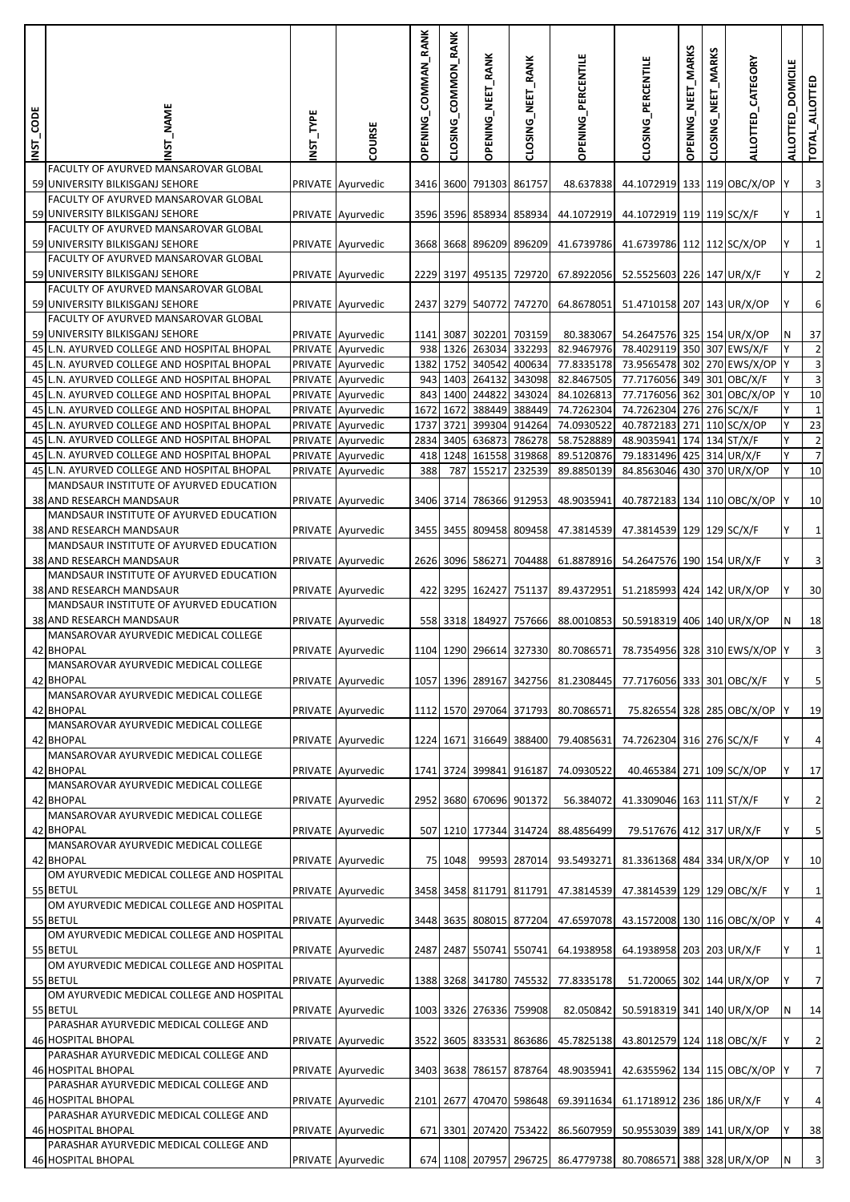| INST_CODE | <b>NAME</b>                                                                                | INST_TYPE | COURSE                                 | OPENING_COMMAN_RANK | CLOSING_COMMON_RANK | <b>OPENING_NEET_RANK</b>                 | CLOSING_NEET_RANK       | OPENING_PERCENTILE                                           | CLOSING_PERCENTILE                                      | OPENING_NEET_MARKS | <b>MARKS</b><br>NEET<br>CLOSING | ALLOTTED_CATEGORY            | <b>DOMICILE</b><br><b>ALLOTTED</b> | TOTAL_ALLOTTED          |
|-----------|--------------------------------------------------------------------------------------------|-----------|----------------------------------------|---------------------|---------------------|------------------------------------------|-------------------------|--------------------------------------------------------------|---------------------------------------------------------|--------------------|---------------------------------|------------------------------|------------------------------------|-------------------------|
|           | FACULTY OF AYURVED MANSAROVAR GLOBAL<br>59 UNIVERSITY BILKISGANJ SEHORE                    |           | PRIVATE Ayurvedic                      |                     |                     | 3416 3600 791303 861757                  |                         | 48.637838                                                    | 44.1072919 133 119 OBC/X/OP                             |                    |                                 |                              |                                    | 3                       |
|           | FACULTY OF AYURVED MANSAROVAR GLOBAL<br>59 UNIVERSITY BILKISGANJ SEHORE                    |           |                                        |                     |                     |                                          |                         |                                                              |                                                         |                    |                                 |                              |                                    |                         |
|           | FACULTY OF AYURVED MANSAROVAR GLOBAL                                                       |           | PRIVATE Ayurvedic                      |                     |                     | 3596 3596 858934 858934                  |                         | 44.1072919                                                   | 44.1072919 119 119 SC/X/F                               |                    |                                 |                              |                                    | $\mathbf 1$             |
|           | 59 UNIVERSITY BILKISGANJ SEHORE<br>FACULTY OF AYURVED MANSAROVAR GLOBAL                    |           | PRIVATE Ayurvedic                      |                     |                     |                                          | 3668 3668 896209 896209 | 41.6739786                                                   | 41.6739786 112 112 SC/X/OP                              |                    |                                 |                              |                                    | $\mathbf 1$             |
|           | 59 UNIVERSITY BILKISGANJ SEHORE                                                            |           | PRIVATE Ayurvedic                      |                     |                     |                                          | 2229 3197 495135 729720 | 67.8922056                                                   | 52.5525603 226 147 UR/X/F                               |                    |                                 |                              | Y                                  | $\overline{2}$          |
|           | FACULTY OF AYURVED MANSAROVAR GLOBAL<br>59 UNIVERSITY BILKISGANJ SEHORE                    |           | PRIVATE Ayurvedic                      |                     |                     |                                          | 2437 3279 540772 747270 | 64.8678051                                                   | 51.4710158 207 143 UR/X/OP                              |                    |                                 |                              |                                    | 6                       |
|           | <b>FACULTY OF AYURVED MANSAROVAR GLOBAL</b><br>59 UNIVERSITY BILKISGANJ SEHORE             |           |                                        |                     |                     | 1141 3087 302201 703159                  |                         |                                                              | 54.2647576 325 154 UR/X/OP                              |                    |                                 |                              |                                    | 37                      |
|           | 45 L.N. AYURVED COLLEGE AND HOSPITAL BHOPAL                                                |           | PRIVATE Ayurvedic<br>PRIVATE Ayurvedic |                     |                     | 938 1326 263034 332293                   |                         | 80.383067<br>82.9467976                                      | 78.4029119 350 307 EWS/X/F                              |                    |                                 |                              | N                                  | $\overline{2}$          |
|           | 45 L.N. AYURVED COLLEGE AND HOSPITAL BHOPAL                                                |           | PRIVATE Ayurvedic                      |                     | 1382 1752           | 340542 400634                            |                         | 77.8335178                                                   | 73.9565478 302 270 EWS/X/OP Y                           |                    |                                 |                              |                                    | 3                       |
|           | 45 L.N. AYURVED COLLEGE AND HOSPITAL BHOPAL                                                |           | PRIVATE Ayurvedic                      |                     | 943 1403            | 264132 343098                            |                         | 82.8467505                                                   | 77.7176056 349 301 OBC/X/F                              |                    |                                 |                              | Y                                  | 3                       |
|           | 45 L.N. AYURVED COLLEGE AND HOSPITAL BHOPAL                                                |           | PRIVATE Ayurvedic                      |                     |                     | 843 1400 244822 343024                   |                         | 84.1026813                                                   | 77.7176056 362 301 OBC/X/OP Y                           |                    |                                 |                              |                                    | 10                      |
|           | 45 L.N. AYURVED COLLEGE AND HOSPITAL BHOPAL                                                |           | PRIVATE Ayurvedic                      |                     | 1672 1672           | 388449 388449                            |                         | 74.7262304                                                   | 74.7262304 276 276 SC/X/F                               |                    |                                 |                              | Y                                  | 1                       |
|           | 45 L.N. AYURVED COLLEGE AND HOSPITAL BHOPAL<br>45 L.N. AYURVED COLLEGE AND HOSPITAL BHOPAL |           | PRIVATE Ayurvedic                      |                     | 1737 3721           | 399304 914264<br>2834 3405 636873 786278 |                         | 74.0930522<br>58.7528889                                     | 40.7872183 271 110 SC/X/OP<br>48.9035941 174 134 ST/X/F |                    |                                 |                              | Υ<br>Y                             | 23<br>$\overline{2}$    |
|           | 45 L.N. AYURVED COLLEGE AND HOSPITAL BHOPAL                                                |           | PRIVATE Ayurvedic<br>PRIVATE Ayurvedic | 418                 |                     | 1248 161558 319868                       |                         | 89.5120876                                                   | 79.1831496 425 314 UR/X/F                               |                    |                                 |                              | Υ                                  | $\overline{7}$          |
|           | 45 L.N. AYURVED COLLEGE AND HOSPITAL BHOPAL                                                |           | PRIVATE Ayurvedic                      | 388                 |                     | 787 155217                               | 232539                  | 89.8850139                                                   | 84.8563046 430 370 UR/X/OP                              |                    |                                 |                              | Υ                                  | 10                      |
|           | MANDSAUR INSTITUTE OF AYURVED EDUCATION                                                    |           |                                        |                     |                     |                                          |                         |                                                              |                                                         |                    |                                 |                              |                                    |                         |
|           | 38 AND RESEARCH MANDSAUR<br>MANDSAUR INSTITUTE OF AYURVED EDUCATION                        |           | PRIVATE Ayurvedic                      |                     |                     |                                          | 3406 3714 786366 912953 | 48.9035941                                                   | 40.7872183 134 110 OBC/X/OP                             |                    |                                 |                              |                                    | 10                      |
|           | 38 AND RESEARCH MANDSAUR<br>MANDSAUR INSTITUTE OF AYURVED EDUCATION                        |           | PRIVATE Ayurvedic                      |                     |                     | 3455 3455 809458 809458                  |                         | 47.3814539                                                   | 47.3814539 129 129 SC/X/F                               |                    |                                 |                              | Y                                  | $\mathbf{1}$            |
|           | 38 AND RESEARCH MANDSAUR                                                                   |           | PRIVATE Ayurvedic                      |                     |                     | 2626 3096 586271                         | 704488                  | 61.8878916                                                   | 54.2647576 190 154 UR/X/F                               |                    |                                 |                              |                                    | 3                       |
|           | MANDSAUR INSTITUTE OF AYURVED EDUCATION<br>38 AND RESEARCH MANDSAUR                        |           | PRIVATE Ayurvedic                      |                     |                     | 422 3295 162427 751137                   |                         | 89.4372951                                                   | 51.2185993 424 142 UR/X/OP                              |                    |                                 |                              | lY.                                | 30                      |
|           | MANDSAUR INSTITUTE OF AYURVED EDUCATION                                                    |           |                                        |                     |                     |                                          |                         |                                                              |                                                         |                    |                                 |                              |                                    |                         |
|           | 38 AND RESEARCH MANDSAUR<br>MANSAROVAR AYURVEDIC MEDICAL COLLEGE                           |           | PRIVATE Ayurvedic                      |                     |                     |                                          | 558 3318 184927 757666  | 88.0010853                                                   | 50.5918319 406 140 UR/X/OP                              |                    |                                 |                              | N                                  | 18                      |
|           | 42 BHOPAL                                                                                  |           | PRIVATE Ayurvedic                      |                     |                     |                                          | 1104 1290 296614 327330 | 80.7086571                                                   | 78.7354956 328 310 EWS/X/OP Y                           |                    |                                 |                              |                                    | 3                       |
|           | MANSAROVAR AYURVEDIC MEDICAL COLLEGE<br>42 BHOPAL                                          |           | PRIVATE Ayurvedic                      |                     |                     |                                          |                         | 1057 1396 289167 342756 81.2308445                           | 77.7176056 333 301 OBC/X/F                              |                    |                                 |                              | IY.                                | 5                       |
|           | MANSAROVAR AYURVEDIC MEDICAL COLLEGE<br>42 BHOPAL                                          |           | PRIVATE Ayurvedic                      |                     |                     |                                          | 1112 1570 297064 371793 | 80.7086571                                                   |                                                         |                    |                                 | 75.826554 328 285 OBC/X/OP Y |                                    | 19                      |
|           | MANSAROVAR AYURVEDIC MEDICAL COLLEGE                                                       |           |                                        |                     |                     |                                          |                         |                                                              |                                                         |                    |                                 |                              |                                    |                         |
|           | 42 BHOPAL<br>MANSAROVAR AYURVEDIC MEDICAL COLLEGE                                          |           | PRIVATE Ayurvedic                      |                     |                     |                                          | 1224 1671 316649 388400 | 79.4085631                                                   | 74.7262304 316 276 SC/X/F                               |                    |                                 |                              |                                    | $\overline{4}$          |
|           | 42 BHOPAL                                                                                  |           | PRIVATE Ayurvedic                      |                     |                     | 1741 3724 399841 916187                  |                         | 74.0930522                                                   | 40.465384 271 109 SC/X/OP                               |                    |                                 |                              | Υ                                  | 17                      |
|           | MANSAROVAR AYURVEDIC MEDICAL COLLEGE<br>42 BHOPAL                                          |           | PRIVATE Ayurvedic                      |                     |                     | 2952 3680 670696 901372                  |                         | 56.384072                                                    | 41.3309046 163 111 ST/X/F                               |                    |                                 |                              |                                    | $\overline{2}$          |
|           | MANSAROVAR AYURVEDIC MEDICAL COLLEGE<br>42 BHOPAL                                          |           | PRIVATE Ayurvedic                      |                     |                     |                                          | 507 1210 177344 314724  | 88.4856499                                                   | 79.517676 412 317 UR/X/F                                |                    |                                 |                              | Υ                                  | 5                       |
|           | MANSAROVAR AYURVEDIC MEDICAL COLLEGE                                                       |           |                                        |                     |                     |                                          |                         |                                                              |                                                         |                    |                                 |                              |                                    |                         |
|           | 42 BHOPAL<br>OM AYURVEDIC MEDICAL COLLEGE AND HOSPITAL                                     |           | PRIVATE Ayurvedic                      |                     | 75 1048             |                                          | 99593 287014            | 93.5493271                                                   | 81.3361368 484 334 UR/X/OP                              |                    |                                 |                              |                                    | 10                      |
|           | 55 BETUL                                                                                   |           | PRIVATE Ayurvedic                      |                     |                     | 3458 3458 811791 811791                  |                         | 47.3814539                                                   | 47.3814539 129 129 OBC/X/F                              |                    |                                 |                              |                                    | $\mathbf{1}$            |
|           | OM AYURVEDIC MEDICAL COLLEGE AND HOSPITAL<br>55 BETUL                                      |           | PRIVATE Ayurvedic                      |                     |                     |                                          | 3448 3635 808015 877204 | 47.6597078                                                   | 43.1572008 130 116 OBC/X/OP                             |                    |                                 |                              |                                    | $\overline{4}$          |
|           | OM AYURVEDIC MEDICAL COLLEGE AND HOSPITAL<br>55 BETUL                                      |           | PRIVATE Ayurvedic                      |                     |                     | 2487 2487 550741 550741                  |                         | 64.1938958                                                   | 64.1938958 203 203 UR/X/F                               |                    |                                 |                              |                                    | $\mathbf{1}$            |
|           | OM AYURVEDIC MEDICAL COLLEGE AND HOSPITAL                                                  |           |                                        |                     |                     |                                          |                         |                                                              |                                                         |                    |                                 |                              |                                    |                         |
|           | 55 BETUL<br>OM AYURVEDIC MEDICAL COLLEGE AND HOSPITAL                                      |           | PRIVATE Ayurvedic                      |                     |                     | 1388 3268 341780 745532                  |                         | 77.8335178                                                   | 51.720065 302 144 UR/X/OP                               |                    |                                 |                              | Y                                  | $\overline{7}$          |
|           | 55 BETUL<br>PARASHAR AYURVEDIC MEDICAL COLLEGE AND                                         |           | PRIVATE Ayurvedic                      |                     |                     | 1003 3326 276336 759908                  |                         | 82.050842                                                    | 50.5918319 341 140 UR/X/OP                              |                    |                                 |                              | N                                  | 14                      |
|           | 46 HOSPITAL BHOPAL                                                                         |           | PRIVATE Ayurvedic                      |                     |                     |                                          | 3522 3605 833531 863686 | 45.7825138                                                   | 43.8012579 124 118 OBC/X/F                              |                    |                                 |                              |                                    | $\overline{2}$          |
|           | PARASHAR AYURVEDIC MEDICAL COLLEGE AND<br>46 HOSPITAL BHOPAL                               |           | PRIVATE Ayurvedic                      |                     |                     |                                          | 3403 3638 786157 878764 | 48.9035941                                                   | 42.6355962 134 115 OBC/X/OP Y                           |                    |                                 |                              |                                    | $\overline{7}$          |
|           | PARASHAR AYURVEDIC MEDICAL COLLEGE AND                                                     |           |                                        |                     |                     |                                          |                         |                                                              |                                                         |                    |                                 |                              |                                    |                         |
|           | 46 HOSPITAL BHOPAL<br>PARASHAR AYURVEDIC MEDICAL COLLEGE AND                               |           | PRIVATE Ayurvedic                      |                     |                     |                                          | 2101 2677 470470 598648 | 69.3911634                                                   | 61.1718912 236 186 UR/X/F                               |                    |                                 |                              | Y                                  | $\overline{4}$          |
|           | 46 HOSPITAL BHOPAL                                                                         |           | PRIVATE Ayurvedic                      |                     |                     | 671 3301 207420 753422                   |                         | 86.5607959                                                   | 50.9553039 389 141 UR/X/OP                              |                    |                                 |                              | Y                                  | 38                      |
|           | PARASHAR AYURVEDIC MEDICAL COLLEGE AND<br><b>46 HOSPITAL BHOPAL</b>                        |           | PRIVATE Ayurvedic                      |                     |                     |                                          |                         | 674 1108 207957 296725 86.4779738 80.7086571 388 328 UR/X/OP |                                                         |                    |                                 |                              | N                                  | $\overline{\mathbf{3}}$ |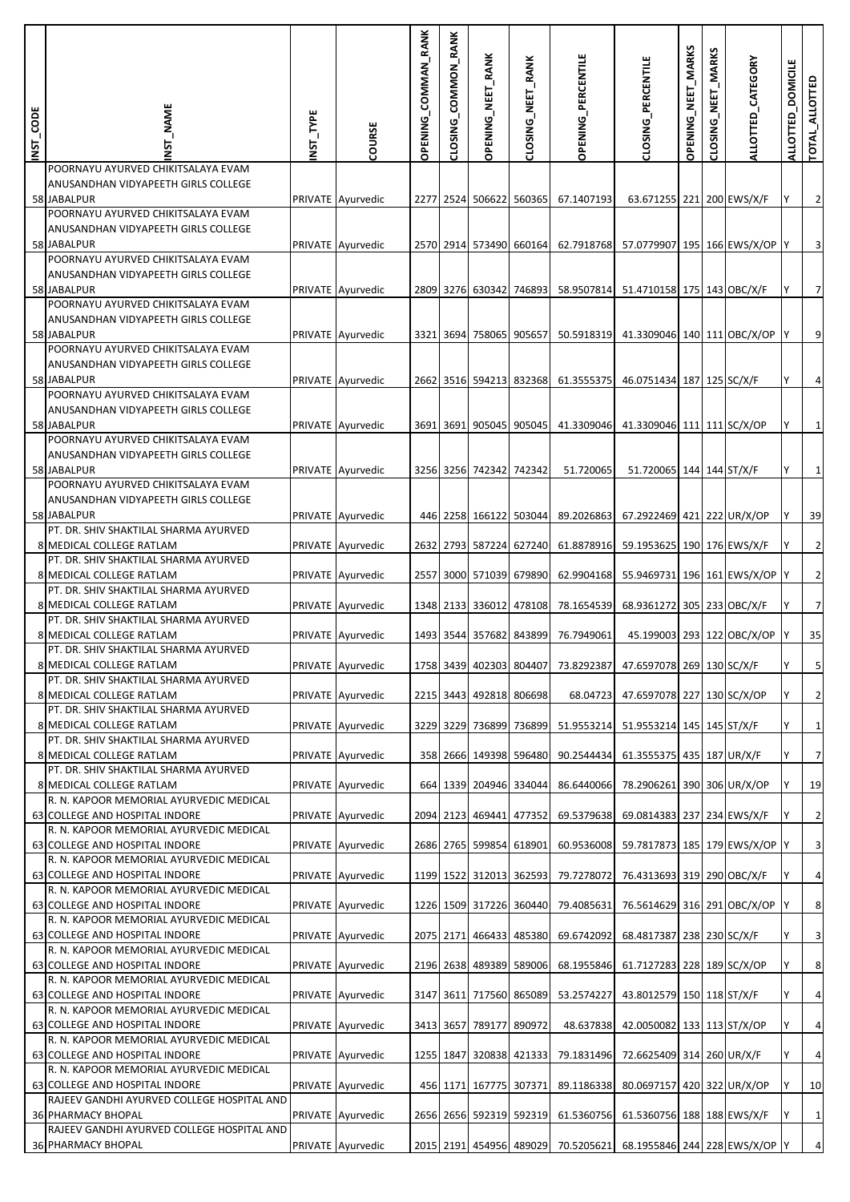| INST_CODE | _NAME                                                                                                      | NST_TYPE | COURSE            | <b>OPENING_COMMAN_RANK</b> | CLOSING_COMMON_RANK | <b>OPENING_NEET_RANK</b> | CLOSING_NEET_RANK       | OPENING_PERCENTILE                 | CLOSING_PERCENTILE                                               | OPENING_NEET_MARKS | <b>MARKS</b><br>NEET <sub></sub><br>CLOSING | ALLOTTED_CATEGORY            | <b>DOMICILE</b><br><b>ALLOTTED</b> | TOTAL_ALLOTTED          |
|-----------|------------------------------------------------------------------------------------------------------------|----------|-------------------|----------------------------|---------------------|--------------------------|-------------------------|------------------------------------|------------------------------------------------------------------|--------------------|---------------------------------------------|------------------------------|------------------------------------|-------------------------|
|           | POORNAYU AYURVED CHIKITSALAYA EVAM<br>ANUSANDHAN VIDYAPEETH GIRLS COLLEGE<br>58 JABALPUR                   |          | PRIVATE Ayurvedic |                            |                     |                          | 2277 2524 506622 560365 | 67.1407193                         | 63.671255 221 200 EWS/X/F                                        |                    |                                             |                              | Y                                  | $\overline{2}$          |
|           | POORNAYU AYURVED CHIKITSALAYA EVAM<br>ANUSANDHAN VIDYAPEETH GIRLS COLLEGE<br>58 JABALPUR                   |          | PRIVATE Ayurvedic |                            |                     |                          | 2570 2914 573490 660164 | 62.7918768                         | 57.0779907 195 166 EWS/X/OP Y                                    |                    |                                             |                              |                                    | $\overline{\mathbf{3}}$ |
|           | POORNAYU AYURVED CHIKITSALAYA EVAM<br>ANUSANDHAN VIDYAPEETH GIRLS COLLEGE<br>58 JABALPUR                   |          | PRIVATE Ayurvedic |                            |                     |                          | 2809 3276 630342 746893 | 58.9507814                         | 51.4710158 175 143 OBC/X/F                                       |                    |                                             |                              |                                    | $\overline{7}$          |
|           | POORNAYU AYURVED CHIKITSALAYA EVAM<br>ANUSANDHAN VIDYAPEETH GIRLS COLLEGE<br>58 JABALPUR                   |          | PRIVATE Ayurvedic |                            | 3321 3694           |                          | 758065 905657           | 50.5918319                         | 41.3309046 140 111 OBC/X/OP Y                                    |                    |                                             |                              |                                    | $\overline{9}$          |
|           | POORNAYU AYURVED CHIKITSALAYA EVAM<br>ANUSANDHAN VIDYAPEETH GIRLS COLLEGE<br>58 JABALPUR                   |          | PRIVATE Ayurvedic |                            |                     |                          | 2662 3516 594213 832368 | 61.3555375                         | 46.0751434 187 125 SC/X/F                                        |                    |                                             |                              |                                    | $\overline{4}$          |
|           | POORNAYU AYURVED CHIKITSALAYA EVAM<br>ANUSANDHAN VIDYAPEETH GIRLS COLLEGE<br>58 JABALPUR                   |          | PRIVATE Ayurvedic |                            |                     |                          |                         | 3691 3691 905045 905045 41.3309046 | 41.3309046 111 111 SC/X/OP                                       |                    |                                             |                              |                                    | $\mathbf{1}$            |
|           | POORNAYU AYURVED CHIKITSALAYA EVAM<br>ANUSANDHAN VIDYAPEETH GIRLS COLLEGE<br>58 JABALPUR                   |          | PRIVATE Ayurvedic |                            |                     | 3256 3256 742342 742342  |                         | 51.720065                          | 51.720065 144 144 ST/X/F                                         |                    |                                             |                              |                                    | $\mathbf 1$             |
|           | POORNAYU AYURVED CHIKITSALAYA EVAM<br>ANUSANDHAN VIDYAPEETH GIRLS COLLEGE<br>58 JABALPUR                   |          | PRIVATE Ayurvedic |                            |                     |                          |                         | 446 2258 166122 503044 89.2026863  | 67.2922469 421 222 UR/X/OP                                       |                    |                                             |                              |                                    | 39                      |
|           | PT. DR. SHIV SHAKTILAL SHARMA AYURVED<br>8 MEDICAL COLLEGE RATLAM<br>PT. DR. SHIV SHAKTILAL SHARMA AYURVED |          | PRIVATE Ayurvedic |                            |                     |                          | 2632 2793 587224 627240 | 61.8878916                         | 59.1953625 190 176 EWS/X/F                                       |                    |                                             |                              |                                    | $\overline{2}$          |
|           | 8 MEDICAL COLLEGE RATLAM<br>PT. DR. SHIV SHAKTILAL SHARMA AYURVED                                          |          | PRIVATE Ayurvedic |                            |                     |                          | 2557 3000 571039 679890 | 62.9904168                         | 55.9469731 196 161 EWS/X/OP Y                                    |                    |                                             |                              |                                    | $\overline{2}$          |
|           | 8 MEDICAL COLLEGE RATLAM<br>PT. DR. SHIV SHAKTILAL SHARMA AYURVED                                          |          | PRIVATE Ayurvedic |                            |                     |                          | 1348 2133 336012 478108 | 78.1654539                         | 68.9361272 305 233 OBC/X/F                                       |                    |                                             |                              |                                    | $\overline{7}$          |
|           | 8 MEDICAL COLLEGE RATLAM<br>PT. DR. SHIV SHAKTILAL SHARMA AYURVED                                          |          | PRIVATE Ayurvedic |                            |                     |                          | 1493 3544 357682 843899 | 76.7949061                         |                                                                  |                    |                                             | 45.199003 293 122 OBC/X/OP Y |                                    | 35                      |
|           | 8 MEDICAL COLLEGE RATLAM<br>PT. DR. SHIV SHAKTILAL SHARMA AYURVED                                          |          | PRIVATE Ayurvedic |                            |                     |                          |                         |                                    | 1758 3439 402303 804407 73.8292387 47.6597078 269 130 SC/X/F     |                    |                                             |                              |                                    | 5                       |
|           | 8 MEDICAL COLLEGE RATLAM<br>PT. DR. SHIV SHAKTILAL SHARMA AYURVED                                          |          | PRIVATE Ayurvedic |                            |                     |                          | 2215 3443 492818 806698 |                                    | 68.04723 47.6597078 227 130 SC/X/OP                              |                    |                                             |                              |                                    | $\overline{2}$          |
|           | 8 MEDICAL COLLEGE RATLAM<br>PT. DR. SHIV SHAKTILAL SHARMA AYURVED                                          |          | PRIVATE Ayurvedic |                            |                     |                          | 3229 3229 736899 736899 |                                    | 51.9553214 51.9553214 145 145 ST/X/F                             |                    |                                             |                              |                                    | $1\overline{)}$         |
|           | 8 MEDICAL COLLEGE RATLAM<br>PT. DR. SHIV SHAKTILAL SHARMA AYURVED                                          |          | PRIVATE Ayurvedic |                            |                     |                          | 358 2666 149398 596480  | 90.2544434                         | 61.3555375 435 187 UR/X/F                                        |                    |                                             |                              | Υ                                  | $\overline{7}$          |
|           | 8 MEDICAL COLLEGE RATLAM<br>R. N. KAPOOR MEMORIAL AYURVEDIC MEDICAL                                        |          | PRIVATE Ayurvedic |                            |                     |                          | 664 1339 204946 334044  | 86.6440066                         | 78.2906261 390 306 UR/X/OP                                       |                    |                                             |                              |                                    | 19                      |
|           | 63 COLLEGE AND HOSPITAL INDORE                                                                             |          | PRIVATE Ayurvedic |                            |                     |                          | 2094 2123 469441 477352 | 69.5379638                         | 69.0814383 237 234 EWS/X/F                                       |                    |                                             |                              | Y                                  | $\overline{2}$          |
|           | R. N. KAPOOR MEMORIAL AYURVEDIC MEDICAL<br>63 COLLEGE AND HOSPITAL INDORE                                  |          | PRIVATE Ayurvedic |                            |                     |                          | 2686 2765 599854 618901 | 60.9536008                         | 59.7817873 185 179 EWS/X/OP Y                                    |                    |                                             |                              |                                    | $\overline{3}$          |
|           | R. N. KAPOOR MEMORIAL AYURVEDIC MEDICAL<br>63 COLLEGE AND HOSPITAL INDORE                                  |          | PRIVATE Ayurvedic |                            |                     |                          | 1199 1522 312013 362593 | 79.7278072                         | 76.4313693 319 290 OBC/X/F                                       |                    |                                             |                              | Υ                                  | $\overline{4}$          |
|           | R. N. KAPOOR MEMORIAL AYURVEDIC MEDICAL<br>63 COLLEGE AND HOSPITAL INDORE                                  |          | PRIVATE Ayurvedic |                            |                     |                          | 1226 1509 317226 360440 | 79.4085631                         | 76.5614629 316 291 OBC/X/OP                                      |                    |                                             |                              |                                    | $\bf 8$                 |
|           | R. N. KAPOOR MEMORIAL AYURVEDIC MEDICAL<br>63 COLLEGE AND HOSPITAL INDORE                                  |          | PRIVATE Ayurvedic |                            |                     |                          | 2075 2171 466433 485380 | 69.6742092                         | 68.4817387 238 230 SC/X/F                                        |                    |                                             |                              | Υ                                  | $\overline{\mathbf{3}}$ |
|           | R. N. KAPOOR MEMORIAL AYURVEDIC MEDICAL<br>63 COLLEGE AND HOSPITAL INDORE                                  |          | PRIVATE Ayurvedic |                            |                     |                          | 2196 2638 489389 589006 | 68.1955846                         | 61.7127283 228 189 SC/X/OP                                       |                    |                                             |                              |                                    | $\boldsymbol{8}$        |
|           | R. N. KAPOOR MEMORIAL AYURVEDIC MEDICAL                                                                    |          | PRIVATE Ayurvedic |                            |                     |                          | 3147 3611 717560 865089 |                                    | 43.8012579 150 118 ST/X/F                                        |                    |                                             |                              | Υ                                  | $\overline{4}$          |
|           | 63 COLLEGE AND HOSPITAL INDORE<br>R. N. KAPOOR MEMORIAL AYURVEDIC MEDICAL                                  |          |                   |                            |                     |                          |                         | 53.2574227                         |                                                                  |                    |                                             |                              |                                    |                         |
|           | 63 COLLEGE AND HOSPITAL INDORE<br>R. N. KAPOOR MEMORIAL AYURVEDIC MEDICAL                                  |          | PRIVATE Ayurvedic |                            | 3413 3657           |                          | 789177 890972           | 48.637838                          | 42.0050082 133 113 ST/X/OP                                       |                    |                                             |                              |                                    | $\overline{4}$          |
|           | 63 COLLEGE AND HOSPITAL INDORE<br>R. N. KAPOOR MEMORIAL AYURVEDIC MEDICAL                                  |          | PRIVATE Ayurvedic |                            |                     |                          | 1255 1847 320838 421333 | 79.1831496                         | 72.6625409 314 260 UR/X/F                                        |                    |                                             |                              | Y                                  | $\overline{4}$          |
|           | 63 COLLEGE AND HOSPITAL INDORE<br>RAJEEV GANDHI AYURVED COLLEGE HOSPITAL AND                               |          | PRIVATE Ayurvedic |                            |                     |                          |                         | 456 1171 167775 307371 89.1186338  | 80.0697157 420 322 UR/X/OP                                       |                    |                                             |                              |                                    | 10                      |
|           | <b>36 PHARMACY BHOPAL</b><br>RAJEEV GANDHI AYURVED COLLEGE HOSPITAL AND                                    |          | PRIVATE Ayurvedic |                            |                     |                          | 2656 2656 592319 592319 | 61.5360756                         | 61.5360756 188 188 EWS/X/F                                       |                    |                                             |                              | Y                                  | $1\overline{)}$         |
|           | 36 PHARMACY BHOPAL                                                                                         |          | PRIVATE Ayurvedic |                            |                     |                          |                         |                                    | 2015 2191 454956 489029 70.5205621 68.1955846 244 228 EWS/X/OP Y |                    |                                             |                              |                                    | $\overline{4}$          |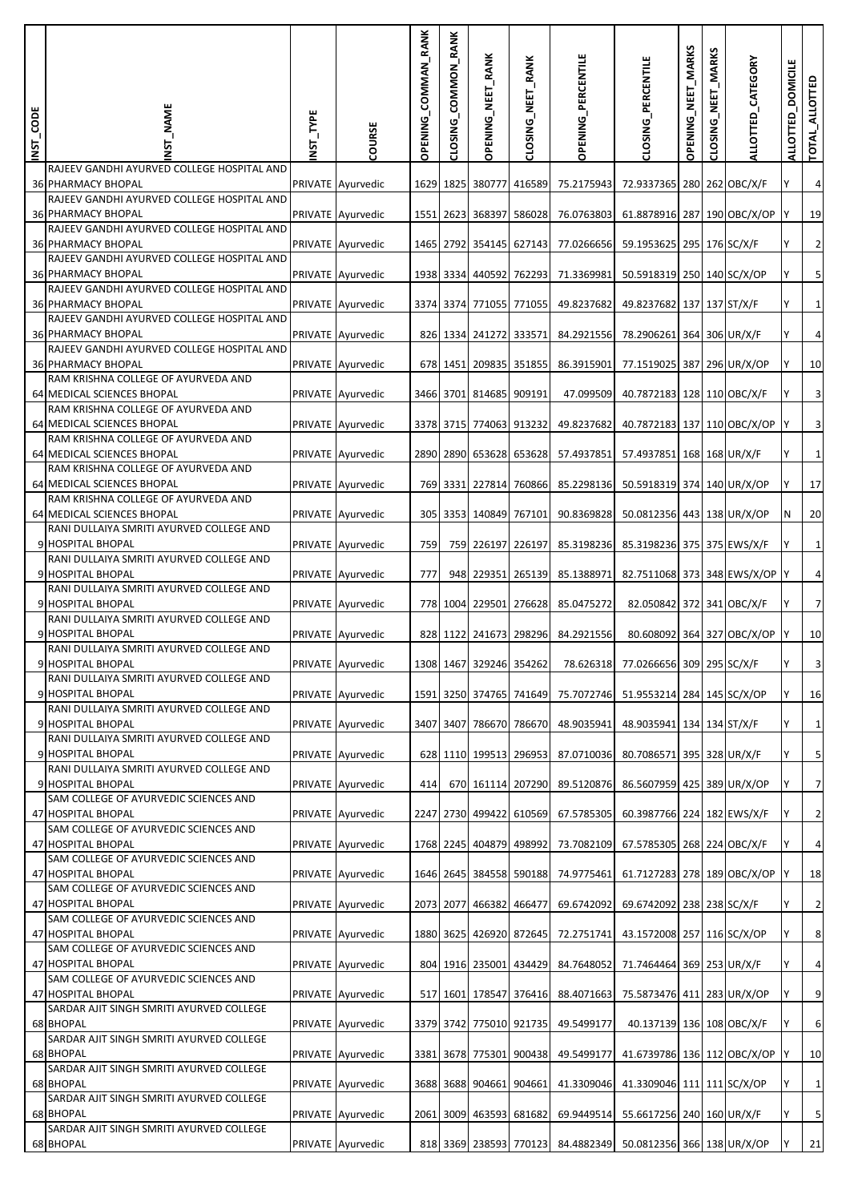| INST_CODE | _NAME                                                                   | INST_TYPE | COURSE            | COMMAN_RANK<br><b>OPENING</b> | CLOSING_COMMON_RANK | OPENING_NEET_RANK       | CLOSING_NEET_RANK       | <b>OPENING_PERCENTILE</b> | CLOSING_PERCENTILE                                           | OPENING_NEET_MARKS | _MARKS<br><b>NEET</b><br><b>CLOSING</b> | ALLOTTED_CATEGORY | <b>DOMICILE</b><br><b>ALLOTTED</b> | TOTAL_ALLOTTED          |
|-----------|-------------------------------------------------------------------------|-----------|-------------------|-------------------------------|---------------------|-------------------------|-------------------------|---------------------------|--------------------------------------------------------------|--------------------|-----------------------------------------|-------------------|------------------------------------|-------------------------|
|           | RAJEEV GANDHI AYURVED COLLEGE HOSPITAL AND<br><b>36 PHARMACY BHOPAL</b> |           | PRIVATE Ayurvedic |                               |                     |                         | 1629 1825 380777 416589 | 75.2175943                | 72.9337365 280 262 OBC/X/F                                   |                    |                                         |                   |                                    | $\overline{\mathbf{4}}$ |
|           | RAJEEV GANDHI AYURVED COLLEGE HOSPITAL AND<br><b>36 PHARMACY BHOPAL</b> |           | PRIVATE Ayurvedic |                               |                     | 1551 2623 368397 586028 |                         | 76.0763803                | 61.8878916 287 190 OBC/X/OP                                  |                    |                                         |                   |                                    | 19                      |
|           | RAJEEV GANDHI AYURVED COLLEGE HOSPITAL AND<br><b>36 PHARMACY BHOPAL</b> |           |                   |                               |                     |                         | 1465 2792 354145 627143 | 77.0266656                | 59.1953625 295 176 SC/X/F                                    |                    |                                         |                   |                                    | $\overline{c}$          |
|           | RAJEEV GANDHI AYURVED COLLEGE HOSPITAL AND                              |           | PRIVATE Ayurvedic |                               |                     |                         |                         |                           |                                                              |                    |                                         |                   |                                    |                         |
|           | <b>36 PHARMACY BHOPAL</b><br>RAJEEV GANDHI AYURVED COLLEGE HOSPITAL AND |           | PRIVATE Ayurvedic |                               |                     |                         | 1938 3334 440592 762293 | 71.3369981                | 50.5918319 250 140 SC/X/OP                                   |                    |                                         |                   |                                    | $\overline{\mathbf{5}}$ |
|           | <b>36 PHARMACY BHOPAL</b><br>RAJEEV GANDHI AYURVED COLLEGE HOSPITAL AND |           | PRIVATE Ayurvedic |                               |                     |                         | 3374 3374 771055 771055 | 49.8237682                | 49.8237682 137 137 ST/X/F                                    |                    |                                         |                   |                                    | $\mathbf 1$             |
|           | <b>36 PHARMACY BHOPAL</b><br>RAJEEV GANDHI AYURVED COLLEGE HOSPITAL AND |           | PRIVATE Ayurvedic |                               |                     |                         | 826 1334 241272 333571  | 84.2921556                | 78.2906261 364 306 UR/X/F                                    |                    |                                         |                   |                                    | $\overline{\mathbf{4}}$ |
|           | <b>36 PHARMACY BHOPAL</b><br>RAM KRISHNA COLLEGE OF AYURVEDA AND        |           | PRIVATE Ayurvedic |                               |                     |                         | 678 1451 209835 351855  | 86.3915901                | 77.1519025 387 296 UR/X/OP                                   |                    |                                         |                   |                                    | 10                      |
|           | 64 MEDICAL SCIENCES BHOPAL<br>RAM KRISHNA COLLEGE OF AYURVEDA AND       |           | PRIVATE Ayurvedic |                               |                     | 3466 3701 814685 909191 |                         | 47.099509                 | 40.7872183 128 110 OBC/X/F                                   |                    |                                         |                   |                                    | $\overline{\mathbf{3}}$ |
|           | 64 MEDICAL SCIENCES BHOPAL                                              |           | PRIVATE Ayurvedic |                               |                     |                         | 3378 3715 774063 913232 | 49.8237682                | 40.7872183 137 110 OBC/X/OP                                  |                    |                                         |                   |                                    | $\overline{\mathbf{3}}$ |
|           | RAM KRISHNA COLLEGE OF AYURVEDA AND<br>64 MEDICAL SCIENCES BHOPAL       |           | PRIVATE Ayurvedic |                               |                     |                         | 2890 2890 653628 653628 | 57.4937851                | 57.4937851 168 168 UR/X/F                                    |                    |                                         |                   |                                    | $\mathbf 1$             |
|           | RAM KRISHNA COLLEGE OF AYURVEDA AND<br>64 MEDICAL SCIENCES BHOPAL       |           | PRIVATE Ayurvedic |                               |                     |                         | 769 3331 227814 760866  |                           | 85.2298136 50.5918319 374 140 UR/X/OP                        |                    |                                         |                   |                                    | 17                      |
|           | RAM KRISHNA COLLEGE OF AYURVEDA AND<br>64 MEDICAL SCIENCES BHOPAL       |           | PRIVATE Ayurvedic |                               |                     |                         | 305 3353 140849 767101  | 90.8369828                | 50.0812356 443 138 UR/X/OP                                   |                    |                                         |                   | ΙN                                 | 20                      |
|           | RANI DULLAIYA SMRITI AYURVED COLLEGE AND<br>9 HOSPITAL BHOPAL           |           | PRIVATE Ayurvedic | 759                           |                     |                         | 759 226197 226197       | 85.3198236                | 85.3198236 375 375 EWS/X/F                                   |                    |                                         |                   |                                    | $\mathbf 1$             |
|           | RANI DULLAIYA SMRITI AYURVED COLLEGE AND<br>9 HOSPITAL BHOPAL           |           |                   | 777                           |                     |                         | 948 229351 265139       | 85.1388971                | 82.7511068 373 348 EWS/X/OP Y                                |                    |                                         |                   |                                    | $\pmb{4}$               |
|           | RANI DULLAIYA SMRITI AYURVED COLLEGE AND                                |           | PRIVATE Ayurvedic |                               |                     |                         |                         |                           |                                                              |                    |                                         |                   |                                    |                         |
|           | 9 HOSPITAL BHOPAL<br>RANI DULLAIYA SMRITI AYURVED COLLEGE AND           |           | PRIVATE Ayurvedic |                               |                     |                         | 778 1004 229501 276628  | 85.0475272                | 82.050842 372 341 OBC/X/F                                    |                    |                                         |                   |                                    | $\overline{7}$          |
|           | 9 HOSPITAL BHOPAL<br>RANI DULLAIYA SMRITI AYURVED COLLEGE AND           |           | PRIVATE Ayurvedic |                               |                     |                         | 828 1122 241673 298296  | 84.2921556                | 80.608092 364 327 OBC/X/OP                                   |                    |                                         |                   |                                    | 10                      |
|           | 9 HOSPITAL BHOPAL<br>RANI DULLAIYA SMRITI AYURVED COLLEGE AND           |           | PRIVATE Ayurvedic |                               |                     |                         | 1308 1467 329246 354262 |                           | 78.626318 77.0266656 309 295 SC/X/F                          |                    |                                         |                   |                                    | $\overline{\mathbf{3}}$ |
|           | 9 HOSPITAL BHOPAL<br>RANI DULLAIYA SMRITI AYURVED COLLEGE AND           |           | PRIVATE Ayurvedic |                               |                     |                         | 1591 3250 374765 741649 |                           | 75.7072746 51.9553214 284 145 SC/X/OP                        |                    |                                         |                   |                                    | 16                      |
|           | 9 HOSPITAL BHOPAL<br>RANI DULLAIYA SMRITI AYURVED COLLEGE AND           |           | PRIVATE Ayurvedic |                               |                     |                         | 3407 3407 786670 786670 | 48.9035941                | 48.9035941 134 134 ST/X/F                                    |                    |                                         |                   |                                    | $\mathbf 1$             |
|           | 9 HOSPITAL BHOPAL                                                       |           | PRIVATE Ayurvedic |                               |                     |                         | 628 1110 199513 296953  | 87.0710036                | 80.7086571 395 328 UR/X/F                                    |                    |                                         |                   |                                    | $\overline{\mathbf{5}}$ |
|           | RANI DULLAIYA SMRITI AYURVED COLLEGE AND<br>9 HOSPITAL BHOPAL           |           | PRIVATE Ayurvedic | 414                           |                     |                         | 670 161114 207290       | 89.5120876                | 86.5607959 425 389 UR/X/OP                                   |                    |                                         |                   |                                    | $\overline{7}$          |
|           | SAM COLLEGE OF AYURVEDIC SCIENCES AND<br>47 HOSPITAL BHOPAL             |           | PRIVATE Ayurvedic |                               |                     |                         | 2247 2730 499422 610569 | 67.5785305                | 60.3987766 224 182 EWS/X/F                                   |                    |                                         |                   |                                    | $\overline{c}$          |
|           | SAM COLLEGE OF AYURVEDIC SCIENCES AND<br>47 HOSPITAL BHOPAL             |           | PRIVATE Ayurvedic |                               |                     |                         | 1768 2245 404879 498992 | 73.7082109                | 67.5785305 268 224 OBC/X/F                                   |                    |                                         |                   |                                    | $\overline{\mathbf{4}}$ |
|           | SAM COLLEGE OF AYURVEDIC SCIENCES AND<br>47 HOSPITAL BHOPAL             |           | PRIVATE Ayurvedic |                               |                     |                         | 1646 2645 384558 590188 | 74.9775461                | 61.7127283 278 189 OBC/X/OP                                  |                    |                                         |                   |                                    | 18                      |
|           | SAM COLLEGE OF AYURVEDIC SCIENCES AND<br>47 HOSPITAL BHOPAL             |           | PRIVATE Ayurvedic |                               |                     | 2073 2077 466382 466477 |                         | 69.6742092                | 69.6742092 238 238 SC/X/F                                    |                    |                                         |                   |                                    | $\overline{2}$          |
|           | SAM COLLEGE OF AYURVEDIC SCIENCES AND                                   |           |                   |                               |                     |                         |                         |                           |                                                              |                    |                                         |                   |                                    |                         |
|           | 47 HOSPITAL BHOPAL<br>SAM COLLEGE OF AYURVEDIC SCIENCES AND             |           | PRIVATE Ayurvedic |                               |                     |                         | 1880 3625 426920 872645 | 72.2751741                | 43.1572008 257 116 SC/X/OP                                   |                    |                                         |                   |                                    | $\,$ 8 $\,$             |
|           | 47 HOSPITAL BHOPAL<br>SAM COLLEGE OF AYURVEDIC SCIENCES AND             |           | PRIVATE Ayurvedic |                               |                     |                         | 804 1916 235001 434429  | 84.7648052                | 71.7464464 369 253 UR/X/F                                    |                    |                                         |                   |                                    | $\overline{\mathbf{4}}$ |
|           | 47 HOSPITAL BHOPAL<br>SARDAR AJIT SINGH SMRITI AYURVED COLLEGE          |           | PRIVATE Ayurvedic |                               |                     |                         | 517 1601 178547 376416  | 88.4071663                | 75.5873476 411 283 UR/X/OP                                   |                    |                                         |                   |                                    | $\overline{9}$          |
|           | 68 BHOPAL<br>SARDAR AJIT SINGH SMRITI AYURVED COLLEGE                   |           | PRIVATE Ayurvedic |                               |                     |                         | 3379 3742 775010 921735 | 49.5499177                | 40.137139 136 108 OBC/X/F                                    |                    |                                         |                   |                                    | $\,$ 6                  |
|           | 68 BHOPAL<br>SARDAR AJIT SINGH SMRITI AYURVED COLLEGE                   |           | PRIVATE Ayurvedic |                               |                     |                         | 3381 3678 775301 900438 | 49.5499177                | 41.6739786 136 112 OBC/X/OP                                  |                    |                                         |                   |                                    | 10                      |
|           | 68 BHOPAL                                                               |           | PRIVATE Ayurvedic |                               |                     |                         | 3688 3688 904661 904661 | 41.3309046                | 41.3309046 111 111 SC/X/OP                                   |                    |                                         |                   |                                    | $\mathbf 1$             |
|           | SARDAR AJIT SINGH SMRITI AYURVED COLLEGE<br>68 BHOPAL                   |           | PRIVATE Ayurvedic |                               | 2061 3009           |                         | 463593 681682           | 69.9449514                | 55.6617256 240 160 UR/X/F                                    |                    |                                         |                   |                                    | $\overline{\mathbf{5}}$ |
|           | SARDAR AJIT SINGH SMRITI AYURVED COLLEGE<br>68 BHOPAL                   |           | PRIVATE Ayurvedic |                               |                     |                         |                         |                           | 818 3369 238593 770123 84.4882349 50.0812356 366 138 UR/X/OP |                    |                                         |                   |                                    | $21\,$                  |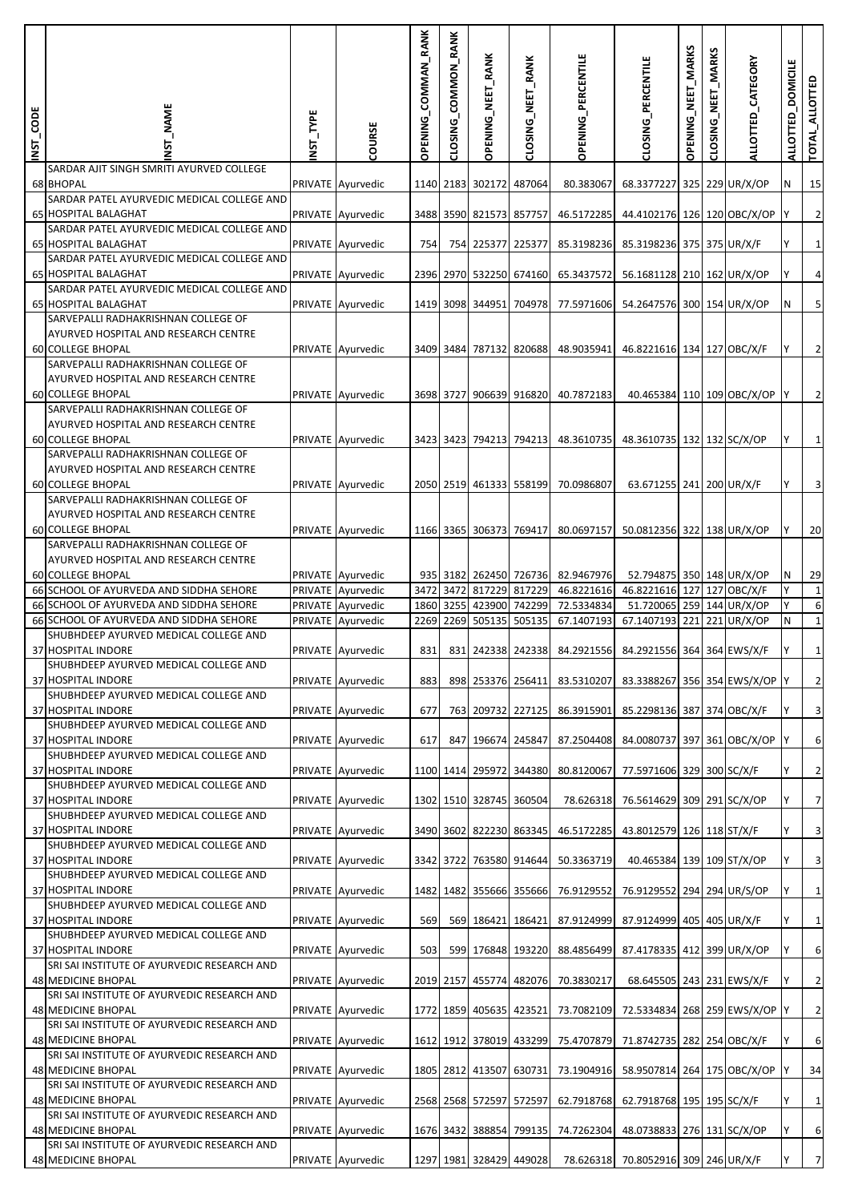| INST_CODE | <b>NAME</b>                                                                 | <b>INST_TYPE</b> | COURSE                                 | OPENING_COMMAN_RANK | CLOSING_COMMON_RANK | OPENING_NEET_RANK       | CLOSING_NEET_RANK       | <b>OPENING_PERCENTILE</b>                       | CLOSING_PERCENTILE                                            | OPENING_NEET_MARKS | <b>MARKS</b><br><b>NEET</b><br>CLOSING | ALLOTTED_CATEGORY          | <b>DOMICILE</b><br><b>ALLOTTED</b> | TOTAL_ALLOTTED          |
|-----------|-----------------------------------------------------------------------------|------------------|----------------------------------------|---------------------|---------------------|-------------------------|-------------------------|-------------------------------------------------|---------------------------------------------------------------|--------------------|----------------------------------------|----------------------------|------------------------------------|-------------------------|
|           | SARDAR AJIT SINGH SMRITI AYURVED COLLEGE<br>68 BHOPAL                       |                  | PRIVATE Ayurvedic                      |                     |                     | 1140 2183 302172        | 487064                  | 80.383067                                       | 68.3377227 325 229 UR/X/OP                                    |                    |                                        |                            | N                                  | 15                      |
|           | SARDAR PATEL AYURVEDIC MEDICAL COLLEGE AND<br>65 HOSPITAL BALAGHAT          |                  | PRIVATE Ayurvedic                      |                     |                     | 3488 3590 821573 857757 |                         | 46.5172285                                      | 44.4102176 126 120 OBC/X/OP                                   |                    |                                        |                            |                                    | $\overline{2}$          |
|           | SARDAR PATEL AYURVEDIC MEDICAL COLLEGE AND<br><b>65 HOSPITAL BALAGHAT</b>   |                  | PRIVATE Ayurvedic                      | 754                 |                     |                         | 754 225377 225377       | 85.3198236                                      | 85.3198236 375 375 UR/X/F                                     |                    |                                        |                            |                                    | $\mathbf{1}$            |
|           | SARDAR PATEL AYURVEDIC MEDICAL COLLEGE AND                                  |                  |                                        |                     |                     |                         |                         |                                                 |                                                               |                    |                                        |                            |                                    |                         |
|           | <b>65 HOSPITAL BALAGHAT</b><br>SARDAR PATEL AYURVEDIC MEDICAL COLLEGE AND   |                  | PRIVATE Ayurvedic                      |                     |                     |                         | 2396 2970 532250 674160 | 65.3437572                                      | 56.1681128 210 162 UR/X/OP                                    |                    |                                        |                            |                                    | $\overline{4}$          |
|           | <b>65 HOSPITAL BALAGHAT</b><br>SARVEPALLI RADHAKRISHNAN COLLEGE OF          |                  | PRIVATE Ayurvedic                      |                     |                     |                         | 1419 3098 344951 704978 | 77.5971606                                      | 54.2647576 300 154 UR/X/OP                                    |                    |                                        |                            | N                                  | $\mathsf S$             |
|           | AYURVED HOSPITAL AND RESEARCH CENTRE<br><b>60 COLLEGE BHOPAL</b>            |                  | PRIVATE Ayurvedic                      |                     |                     |                         | 3409 3484 787132 820688 | 48.9035941                                      | 46.8221616 134 127 OBC/X/F                                    |                    |                                        |                            |                                    | $\overline{2}$          |
|           | SARVEPALLI RADHAKRISHNAN COLLEGE OF                                         |                  |                                        |                     |                     |                         |                         |                                                 |                                                               |                    |                                        |                            |                                    |                         |
|           | AYURVED HOSPITAL AND RESEARCH CENTRE<br><b>60 COLLEGE BHOPAL</b>            |                  | PRIVATE Ayurvedic                      |                     |                     |                         | 3698 3727 906639 916820 | 40.7872183                                      |                                                               |                    |                                        | 40.465384 110 109 OBC/X/OP |                                    | $\overline{2}$          |
|           | SARVEPALLI RADHAKRISHNAN COLLEGE OF<br>AYURVED HOSPITAL AND RESEARCH CENTRE |                  |                                        |                     |                     |                         |                         |                                                 |                                                               |                    |                                        |                            |                                    |                         |
|           | <b>60 COLLEGE BHOPAL</b>                                                    |                  | PRIVATE Ayurvedic                      |                     |                     |                         | 3423 3423 794213 794213 | 48.3610735                                      | 48.3610735 132 132 SC/X/OP                                    |                    |                                        |                            |                                    | $1\overline{)}$         |
|           | SARVEPALLI RADHAKRISHNAN COLLEGE OF<br>AYURVED HOSPITAL AND RESEARCH CENTRE |                  |                                        |                     |                     |                         |                         |                                                 |                                                               |                    |                                        |                            |                                    |                         |
|           | <b>60 COLLEGE BHOPAL</b><br>SARVEPALLI RADHAKRISHNAN COLLEGE OF             |                  | PRIVATE Ayurvedic                      |                     |                     |                         |                         | 2050 2519 461333 558199 70.0986807              | 63.671255 241 200 UR/X/F                                      |                    |                                        |                            |                                    | $\overline{\mathbf{3}}$ |
|           | AYURVED HOSPITAL AND RESEARCH CENTRE                                        |                  |                                        |                     |                     |                         |                         |                                                 |                                                               |                    |                                        |                            |                                    |                         |
|           | <b>60 COLLEGE BHOPAL</b><br>SARVEPALLI RADHAKRISHNAN COLLEGE OF             |                  | PRIVATE Ayurvedic                      |                     |                     |                         | 1166 3365 306373 769417 | 80.0697157                                      | 50.0812356 322 138 UR/X/OP                                    |                    |                                        |                            |                                    | 20                      |
|           | AYURVED HOSPITAL AND RESEARCH CENTRE                                        |                  |                                        |                     |                     |                         |                         |                                                 |                                                               |                    |                                        |                            |                                    |                         |
|           | <b>60 COLLEGE BHOPAL</b><br>66 SCHOOL OF AYURVEDA AND SIDDHA SEHORE         |                  | PRIVATE Ayurvedic<br>PRIVATE Ayurvedic | 3472                | 3472                |                         | 817229 817229           | 935 3182 262450 726736 82.9467976<br>46.8221616 | 52.794875 350 148 UR/X/OP<br>46.8221616 127 127 OBC/X/F       |                    |                                        |                            | N<br>Y                             | 29<br>$\mathbf{1}$      |
|           | 66 SCHOOL OF AYURVEDA AND SIDDHA SEHORE                                     |                  | PRIVATE Ayurvedic                      |                     | 1860 3255           |                         | 423900 742299           | 72.5334834                                      | 51.720065 259 144 UR/X/OP                                     |                    |                                        |                            |                                    | $\boldsymbol{6}$        |
|           | 66 SCHOOL OF AYURVEDA AND SIDDHA SEHORE                                     |                  | PRIVATE Ayurvedic                      | 2269                | 2269                | 505135 505135           |                         | 67.1407193                                      | 67.1407193 221 221 UR/X/OP                                    |                    |                                        |                            | N                                  | $\mathbf 1$             |
|           | SHUBHDEEP AYURVED MEDICAL COLLEGE AND<br><b>37 HOSPITAL INDORE</b>          |                  | PRIVATE Ayurvedic                      | 831                 |                     |                         | 831 242338 242338       | 84.2921556                                      | 84.2921556 364 364 EWS/X/F                                    |                    |                                        |                            |                                    | $\mathbf 1$             |
|           | SHUBHDEEP AYURVED MEDICAL COLLEGE AND<br><b>37 HOSPITAL INDORE</b>          |                  | PRIVATE Ayurvedic                      | 883                 |                     |                         |                         |                                                 | 898 253376 256411 83.5310207 83.3388267 356 354 EWS/X/OP Y    |                    |                                        |                            |                                    | $\overline{2}$          |
|           | SHUBHDEEP AYURVED MEDICAL COLLEGE AND<br>37 HOSPITAL INDORE                 |                  | PRIVATE Ayurvedic                      | 677                 |                     |                         | 763 209732 227125       | 86.3915901                                      | 85.2298136 387 374 OBC/X/F                                    |                    |                                        |                            |                                    | $\overline{\mathbf{3}}$ |
|           | SHUBHDEEP AYURVED MEDICAL COLLEGE AND                                       |                  | PRIVATE Ayurvedic                      | 617                 |                     | 847 196674 245847       |                         | 87.2504408                                      | 84.0080737 397 361 OBC/X/OP                                   |                    |                                        |                            |                                    | $\sqrt{6}$              |
|           | 37 HOSPITAL INDORE<br>SHUBHDEEP AYURVED MEDICAL COLLEGE AND                 |                  |                                        |                     |                     |                         |                         |                                                 |                                                               |                    |                                        |                            |                                    |                         |
|           | 37 HOSPITAL INDORE<br>SHUBHDEEP AYURVED MEDICAL COLLEGE AND                 |                  | PRIVATE Ayurvedic                      |                     |                     |                         | 1100 1414 295972 344380 | 80.8120067                                      | 77.5971606 329 300 SC/X/F                                     |                    |                                        |                            |                                    | $\overline{2}$          |
|           | 37 HOSPITAL INDORE                                                          |                  | PRIVATE Ayurvedic                      |                     |                     |                         | 1302 1510 328745 360504 |                                                 | 78.626318 76.5614629 309 291 SC/X/OP                          |                    |                                        |                            | Y                                  | $\overline{7}$          |
|           | SHUBHDEEP AYURVED MEDICAL COLLEGE AND<br><b>37 HOSPITAL INDORE</b>          |                  | PRIVATE Ayurvedic                      |                     |                     |                         | 3490 3602 822230 863345 | 46.5172285                                      | 43.8012579 126 118 ST/X/F                                     |                    |                                        |                            | Y                                  | $\overline{3}$          |
|           | SHUBHDEEP AYURVED MEDICAL COLLEGE AND<br>37 HOSPITAL INDORE                 |                  | PRIVATE Ayurvedic                      |                     | 3342 3722           |                         | 763580 914644           | 50.3363719                                      | 40.465384 139 109 ST/X/OP                                     |                    |                                        |                            | Y                                  | $\overline{\mathbf{3}}$ |
|           | SHUBHDEEP AYURVED MEDICAL COLLEGE AND<br>37 HOSPITAL INDORE                 |                  | PRIVATE Ayurvedic                      |                     |                     |                         | 1482 1482 355666 355666 | 76.9129552                                      | 76.9129552 294 294 UR/S/OP                                    |                    |                                        |                            | Υ                                  | $1\overline{)}$         |
|           | SHUBHDEEP AYURVED MEDICAL COLLEGE AND<br>37 HOSPITAL INDORE                 |                  | PRIVATE Ayurvedic                      | 569                 |                     |                         | 569 186421 186421       | 87.9124999                                      | 87.9124999 405 405 UR/X/F                                     |                    |                                        |                            | Y                                  | $1\overline{)}$         |
|           | SHUBHDEEP AYURVED MEDICAL COLLEGE AND<br><b>37 HOSPITAL INDORE</b>          |                  | PRIVATE Ayurvedic                      | 503                 |                     |                         | 599 176848 193220       | 88.4856499                                      | 87.4178335 412 399 UR/X/OP                                    |                    |                                        |                            |                                    | $\epsilon$              |
|           | SRI SAI INSTITUTE OF AYURVEDIC RESEARCH AND<br><b>48 MEDICINE BHOPAL</b>    |                  | PRIVATE Ayurvedic                      |                     |                     |                         |                         | 2019 2157 455774 482076 70.3830217              | 68.645505 243 231 EWS/X/F                                     |                    |                                        |                            |                                    | $\overline{2}$          |
|           | SRI SAI INSTITUTE OF AYURVEDIC RESEARCH AND<br>48 MEDICINE BHOPAL           |                  | PRIVATE Ayurvedic                      |                     |                     |                         | 1772 1859 405635 423521 | 73.7082109                                      | 72.5334834 268 259 EWS/X/OP Y                                 |                    |                                        |                            |                                    | $\overline{2}$          |
|           | SRI SAI INSTITUTE OF AYURVEDIC RESEARCH AND                                 |                  |                                        |                     |                     |                         |                         |                                                 |                                                               |                    |                                        |                            |                                    |                         |
|           | 48 MEDICINE BHOPAL<br>SRI SAI INSTITUTE OF AYURVEDIC RESEARCH AND           |                  | PRIVATE Ayurvedic                      |                     |                     |                         |                         |                                                 | 1612 1912 378019 433299 75.4707879 71.8742735 282 254 OBC/X/F |                    |                                        |                            |                                    | $\sqrt{6}$              |
|           | 48 MEDICINE BHOPAL<br>SRI SAI INSTITUTE OF AYURVEDIC RESEARCH AND           |                  | PRIVATE Ayurvedic                      |                     |                     |                         | 1805 2812 413507 630731 | 73.1904916                                      | 58.9507814 264 175 OBC/X/OP                                   |                    |                                        |                            |                                    | 34                      |
|           | <b>48 MEDICINE BHOPAL</b><br>SRI SAI INSTITUTE OF AYURVEDIC RESEARCH AND    |                  | PRIVATE Ayurvedic                      |                     |                     |                         | 2568 2568 572597 572597 | 62.7918768                                      | 62.7918768 195 195 SC/X/F                                     |                    |                                        |                            |                                    | $1\overline{)}$         |
|           | <b>48 MEDICINE BHOPAL</b>                                                   |                  | PRIVATE Ayurvedic                      |                     |                     |                         | 1676 3432 388854 799135 | 74.7262304                                      | 48.0738833 276 131 SC/X/OP                                    |                    |                                        |                            |                                    | $6\,$                   |
|           | SRI SAI INSTITUTE OF AYURVEDIC RESEARCH AND<br>48 MEDICINE BHOPAL           |                  | PRIVATE Ayurvedic                      |                     |                     |                         |                         |                                                 | 1297 1981 328429 449028 78.626318 70.8052916 309 246 UR/X/F   |                    |                                        |                            |                                    | $\overline{7}$          |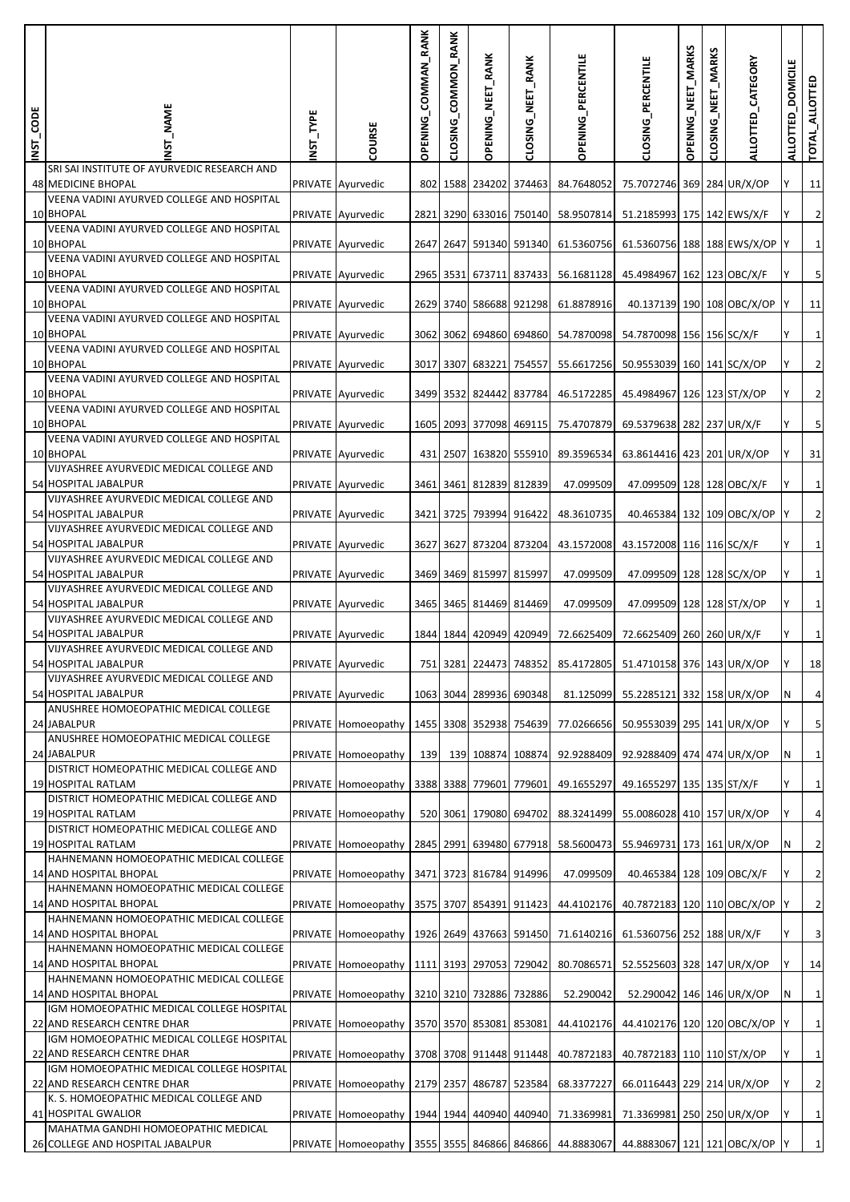| INST_CODE | <b>NST_NAME</b>                                                          | NST_TYPE | COURSE              | COMMAN_RANK<br><b>OPENING</b> | CLOSING_COMMON_RANK | OPENING_NEET_RANK       | CLOSING_NEET_RANK       | OPENING_PERCENTILE                 | CLOSING PERCENTILE                                           | OPENING_NEET_MARKS | <b>MARKS</b><br>MET<br>CLOSING | ALLOTTED_CATEGORY            | <b>DOMICILE</b><br><b>ALLOTTED</b> | TOTAL_ALLOTTED          |
|-----------|--------------------------------------------------------------------------|----------|---------------------|-------------------------------|---------------------|-------------------------|-------------------------|------------------------------------|--------------------------------------------------------------|--------------------|--------------------------------|------------------------------|------------------------------------|-------------------------|
|           | SRI SAI INSTITUTE OF AYURVEDIC RESEARCH AND<br><b>48 MEDICINE BHOPAL</b> |          | PRIVATE Ayurvedic   |                               |                     |                         | 802 1588 234202 374463  | 84.7648052                         | 75.7072746 369 284 UR/X/OP                                   |                    |                                |                              | Υ                                  | 11                      |
|           | VEENA VADINI AYURVED COLLEGE AND HOSPITAL<br>10 BHOPAL                   |          | PRIVATE Ayurvedic   |                               |                     |                         | 2821 3290 633016 750140 | 58.9507814                         | 51.2185993 175 142 EWS/X/F                                   |                    |                                |                              | Υ                                  | $\overline{2}$          |
|           | VEENA VADINI AYURVED COLLEGE AND HOSPITAL<br>10 BHOPAL                   |          | PRIVATE Ayurvedic   |                               |                     |                         |                         | 2647 2647 591340 591340 61.5360756 | 61.5360756 188 188 EWS/X/OP Y                                |                    |                                |                              |                                    | $\mathbf 1$             |
|           | VEENA VADINI AYURVED COLLEGE AND HOSPITAL                                |          |                     |                               |                     |                         |                         |                                    |                                                              |                    |                                |                              |                                    |                         |
|           | 10 BHOPAL<br>VEENA VADINI AYURVED COLLEGE AND HOSPITAL                   |          | PRIVATE Ayurvedic   |                               |                     |                         | 2965 3531 673711 837433 | 56.1681128                         | 45.4984967 162 123 OBC/X/F                                   |                    |                                |                              | Y                                  | 5                       |
|           | 10 BHOPAL<br>VEENA VADINI AYURVED COLLEGE AND HOSPITAL                   |          | PRIVATE Ayurvedic   |                               |                     |                         | 2629 3740 586688 921298 | 61.8878916                         | 40.137139 190 108 OBC/X/OP                                   |                    |                                |                              |                                    | 11                      |
|           | 10 BHOPAL<br>VEENA VADINI AYURVED COLLEGE AND HOSPITAL                   |          | PRIVATE Ayurvedic   |                               | 3062 3062           |                         | 694860 694860           | 54.7870098                         | 54.7870098 156 156 SC/X/F                                    |                    |                                |                              | Υ                                  | $\mathbf{1}$            |
|           | 10 BHOPAL<br>VEENA VADINI AYURVED COLLEGE AND HOSPITAL                   |          | PRIVATE Ayurvedic   |                               |                     |                         | 3017 3307 683221 754557 | 55.6617256                         | 50.9553039 160 141 SC/X/OP                                   |                    |                                |                              |                                    | $\overline{2}$          |
|           | 10 BHOPAL<br>VEENA VADINI AYURVED COLLEGE AND HOSPITAL                   |          | PRIVATE Ayurvedic   |                               |                     |                         | 3499 3532 824442 837784 | 46.5172285                         | 45.4984967 126 123 ST/X/OP                                   |                    |                                |                              | Y                                  | $\overline{2}$          |
|           | 10 BHOPAL<br>VEENA VADINI AYURVED COLLEGE AND HOSPITAL                   |          | PRIVATE Ayurvedic   |                               |                     |                         | 1605 2093 377098 469115 | 75.4707879                         | 69.5379638 282 237 UR/X/F                                    |                    |                                |                              | Y                                  | 5                       |
|           | 10 BHOPAL                                                                |          | PRIVATE Ayurvedic   |                               |                     |                         | 431 2507 163820 555910  | 89.3596534                         | 63.8614416 423 201 UR/X/OP                                   |                    |                                |                              | Υ                                  | 31                      |
|           | VIJYASHREE AYURVEDIC MEDICAL COLLEGE AND<br>54 HOSPITAL JABALPUR         |          | PRIVATE Ayurvedic   |                               |                     |                         | 3461 3461 812839 812839 | 47.099509                          | 47.099509 128 128 OBC/X/F                                    |                    |                                |                              |                                    | $\mathbf 1$             |
|           | VIJYASHREE AYURVEDIC MEDICAL COLLEGE AND<br>54 HOSPITAL JABALPUR         |          | PRIVATE Ayurvedic   |                               |                     | 3421 3725 793994 916422 |                         | 48.3610735                         |                                                              |                    |                                | 40.465384 132 109 OBC/X/OP Y |                                    | $\overline{2}$          |
|           | VIJYASHREE AYURVEDIC MEDICAL COLLEGE AND<br>54 HOSPITAL JABALPUR         |          | PRIVATE Ayurvedic   |                               |                     |                         | 3627 3627 873204 873204 | 43.1572008                         | 43.1572008 116 116 SC/X/F                                    |                    |                                |                              |                                    | $\mathbf{1}$            |
|           | VIJYASHREE AYURVEDIC MEDICAL COLLEGE AND<br>54 HOSPITAL JABALPUR         |          | PRIVATE Ayurvedic   |                               |                     | 3469 3469 815997 815997 |                         | 47.099509                          | 47.099509 128 128 SC/X/OP                                    |                    |                                |                              | Y                                  | $\mathbf{1}$            |
|           | VIJYASHREE AYURVEDIC MEDICAL COLLEGE AND<br>54 HOSPITAL JABALPUR         |          | PRIVATE Ayurvedic   |                               |                     |                         | 3465 3465 814469 814469 | 47.099509                          | 47.099509 128 128 ST/X/OP                                    |                    |                                |                              |                                    | $\mathbf 1$             |
|           | VIJYASHREE AYURVEDIC MEDICAL COLLEGE AND                                 |          |                     |                               |                     |                         |                         |                                    |                                                              |                    |                                |                              |                                    | $\mathbf{1}$            |
|           | 54 HOSPITAL JABALPUR<br>VIJYASHREE AYURVEDIC MEDICAL COLLEGE AND         |          | PRIVATE Ayurvedic   |                               |                     |                         | 1844 1844 420949 420949 | 72.6625409                         | 72.6625409 260 260 UR/X/F                                    |                    |                                |                              | Y                                  |                         |
|           | 54 HOSPITAL JABALPUR<br>VIJYASHREE AYURVEDIC MEDICAL COLLEGE AND         |          | PRIVATE Ayurvedic   |                               |                     |                         |                         |                                    | 751 3281 224473 748352 85.4172805 51.4710158 376 143 UR/X/OP |                    |                                |                              |                                    | 18                      |
|           | 54 HOSPITAL JABALPUR<br>ANUSHREE HOMOEOPATHIC MEDICAL COLLEGE            |          | PRIVATE Ayurvedic   |                               |                     | 1063 3044 289936 690348 |                         | 81.125099                          | 55.2285121 332 158 UR/X/OP                                   |                    |                                |                              | N                                  | $\overline{4}$          |
|           | 24 JABALPUR<br>ANUSHREE HOMOEOPATHIC MEDICAL COLLEGE                     |          | PRIVATE Homoeopathy |                               |                     |                         | 1455 3308 352938 754639 | 77.0266656                         | 50.9553039 295 141 UR/X/OP                                   |                    |                                |                              |                                    | 5                       |
|           | 24 JABALPUR<br>DISTRICT HOMEOPATHIC MEDICAL COLLEGE AND                  |          | PRIVATE Homoeopathy | 139                           |                     | 139 108874 108874       |                         | 92.9288409                         | 92.9288409 474 474 UR/X/OP                                   |                    |                                |                              | N                                  | $\mathbf{1}$            |
|           | 19 HOSPITAL RATLAM<br>DISTRICT HOMEOPATHIC MEDICAL COLLEGE AND           |          | PRIVATE Homoeopathy |                               |                     |                         | 3388 3388 779601 779601 | 49.1655297                         | 49.1655297 135 135 ST/X/F                                    |                    |                                |                              | Y                                  | $\mathbf{1}$            |
|           | 19 HOSPITAL RATLAM<br>DISTRICT HOMEOPATHIC MEDICAL COLLEGE AND           |          | PRIVATE Homoeopathy |                               |                     | 520 3061 179080 694702  |                         | 88.3241499                         | 55.0086028 410 157 UR/X/OP                                   |                    |                                |                              | Υ                                  | $\sqrt{4}$              |
|           | 19 HOSPITAL RATLAM                                                       |          | PRIVATE Homoeopathy |                               |                     |                         | 2845 2991 639480 677918 | 58.5600473                         | 55.9469731 173 161 UR/X/OP                                   |                    |                                |                              | N                                  | $\overline{2}$          |
|           | HAHNEMANN HOMOEOPATHIC MEDICAL COLLEGE<br>14 AND HOSPITAL BHOPAL         |          | PRIVATE Homoeopathy |                               |                     | 3471 3723 816784 914996 |                         | 47.099509                          | 40.465384 128 109 OBC/X/F                                    |                    |                                |                              | Υ                                  | $\overline{2}$          |
|           | HAHNEMANN HOMOEOPATHIC MEDICAL COLLEGE<br>14 AND HOSPITAL BHOPAL         |          | PRIVATE Homoeopathy |                               |                     |                         |                         | 3575 3707 854391 911423 44.4102176 | 40.7872183 120 110 OBC/X/OP                                  |                    |                                |                              |                                    | $\overline{2}$          |
|           | HAHNEMANN HOMOEOPATHIC MEDICAL COLLEGE<br>14 AND HOSPITAL BHOPAL         |          | PRIVATE Homoeopathy |                               |                     |                         | 1926 2649 437663 591450 | 71.6140216                         | 61.5360756 252 188 UR/X/F                                    |                    |                                |                              | Υ                                  | $\overline{\mathbf{3}}$ |
|           | HAHNEMANN HOMOEOPATHIC MEDICAL COLLEGE<br>14 AND HOSPITAL BHOPAL         |          | PRIVATE Homoeopathy |                               |                     | 1111 3193 297053 729042 |                         | 80.7086571                         | 52.5525603 328 147 UR/X/OP                                   |                    |                                |                              |                                    | 14                      |
|           | HAHNEMANN HOMOEOPATHIC MEDICAL COLLEGE<br>14 AND HOSPITAL BHOPAL         |          | PRIVATE Homoeopathy |                               |                     | 3210 3210 732886 732886 |                         | 52.290042                          | 52.290042 146 146 UR/X/OP                                    |                    |                                |                              | N                                  | $\mathbf 1$             |
|           | IGM HOMOEOPATHIC MEDICAL COLLEGE HOSPITAL                                |          |                     |                               |                     |                         |                         |                                    |                                                              |                    |                                |                              |                                    | $\mathbf 1$             |
|           | 22 AND RESEARCH CENTRE DHAR<br>IGM HOMOEOPATHIC MEDICAL COLLEGE HOSPITAL |          | PRIVATE Homoeopathy |                               |                     | 3570 3570 853081 853081 |                         | 44.4102176                         | 44.4102176 120 120 OBC/X/OP                                  |                    |                                |                              |                                    |                         |
|           | 22 AND RESEARCH CENTRE DHAR<br>IGM HOMOEOPATHIC MEDICAL COLLEGE HOSPITAL |          | PRIVATE Homoeopathy |                               |                     |                         | 3708 3708 911448 911448 | 40.7872183                         | 40.7872183 110 110 ST/X/OP                                   |                    |                                |                              | Υ                                  | $\,1\,$                 |
|           | 22 AND RESEARCH CENTRE DHAR<br>K. S. HOMOEOPATHIC MEDICAL COLLEGE AND    |          | PRIVATE Homoeopathy |                               |                     |                         | 2179 2357 486787 523584 | 68.3377227                         | 66.0116443 229 214 UR/X/OP                                   |                    |                                |                              |                                    | $\overline{2}$          |
|           | 41 HOSPITAL GWALIOR<br>MAHATMA GANDHI HOMOEOPATHIC MEDICAL               |          | PRIVATE Homoeopathy |                               |                     |                         | 1944 1944 440940 440940 | 71.3369981                         | 71.3369981 250 250 UR/X/OP                                   |                    |                                |                              |                                    | $\,1\,$                 |
|           | 26 COLLEGE AND HOSPITAL JABALPUR                                         |          | PRIVATE Homoeopathy |                               |                     |                         |                         | 3555 3555 846866 846866 44.8883067 | 44.8883067 121 121 OBC/X/OP                                  |                    |                                |                              |                                    | $\mathbf 1$             |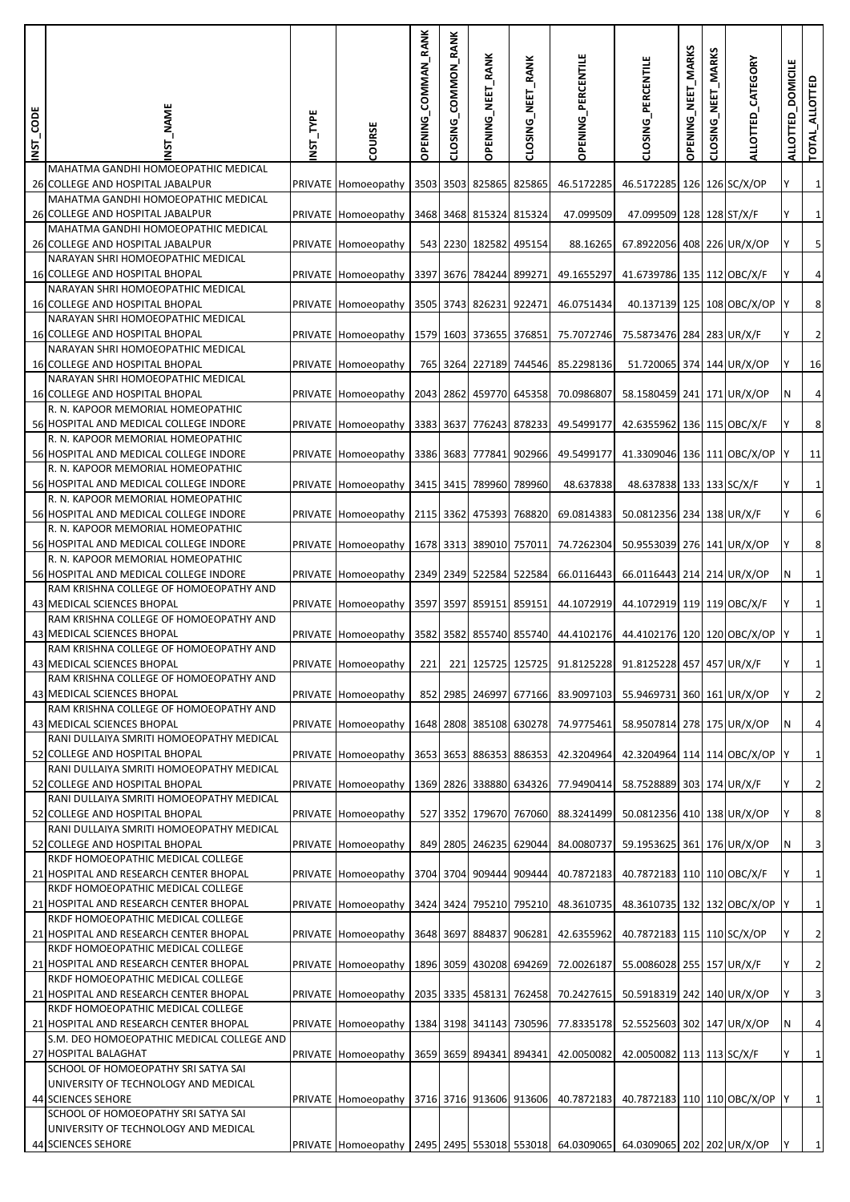| INST_CODE | MAME                                                                        | INST_TYPE | COURSE                                                                            | COMMAN_RANK<br><b>OPENING</b> | CLOSING_COMMON_RANK | <b>OPENING_NEET_RANK</b> | CLOSING_NEET_RANK       | <b>OPENING_PERCENTILE</b>                                    | CLOSING_PERCENTILE          | OPENING_NEET_MARKS | <b>MARKS</b><br>NEET<br>CLOSING | ALLOTTED_CATEGORY | <b>DOMICILE</b><br><b>ALLOTTED</b> | TOTAL_ALLOTTED   |
|-----------|-----------------------------------------------------------------------------|-----------|-----------------------------------------------------------------------------------|-------------------------------|---------------------|--------------------------|-------------------------|--------------------------------------------------------------|-----------------------------|--------------------|---------------------------------|-------------------|------------------------------------|------------------|
|           | MAHATMA GANDHI HOMOEOPATHIC MEDICAL<br>26 COLLEGE AND HOSPITAL JABALPUR     |           | <b>PRIVATE</b> Homoeopathy                                                        |                               |                     |                          | 3503 3503 825865 825865 | 46.5172285                                                   | 46.5172285 126 126 SC/X/OP  |                    |                                 |                   |                                    | $\vert$ 1        |
|           | MAHATMA GANDHI HOMOEOPATHIC MEDICAL<br>26 COLLEGE AND HOSPITAL JABALPUR     |           | PRIVATE Homoeopathy                                                               |                               |                     | 3468 3468 815324 815324  |                         | 47.099509                                                    | 47.099509 128 128 ST/X/F    |                    |                                 |                   |                                    | $1\overline{)}$  |
|           | MAHATMA GANDHI HOMOEOPATHIC MEDICAL<br>26 COLLEGE AND HOSPITAL JABALPUR     |           | PRIVATE Homoeopathy                                                               |                               |                     | 543 2230 182582 495154   |                         | 88.16265                                                     | 67.8922056 408 226 UR/X/OP  |                    |                                 |                   |                                    | $\overline{5}$   |
|           | NARAYAN SHRI HOMOEOPATHIC MEDICAL<br>16 COLLEGE AND HOSPITAL BHOPAL         |           | PRIVATE Homoeopathy                                                               |                               |                     | 3397 3676 784244 899271  |                         | 49.1655297                                                   | 41.6739786 135 112 OBC/X/F  |                    |                                 |                   |                                    | $\overline{4}$   |
|           | NARAYAN SHRI HOMOEOPATHIC MEDICAL<br>16 COLLEGE AND HOSPITAL BHOPAL         |           | PRIVATE Homoeopathy                                                               |                               |                     | 3505 3743 826231 922471  |                         | 46.0751434                                                   | 40.137139 125 108 OBC/X/OP  |                    |                                 |                   |                                    | $\bf 8$          |
|           | NARAYAN SHRI HOMOEOPATHIC MEDICAL<br>16 COLLEGE AND HOSPITAL BHOPAL         |           | PRIVATE Homoeopathy                                                               |                               |                     | 1579 1603 373655 376851  |                         | 75.7072746                                                   | 75.5873476 284 283 UR/X/F   |                    |                                 |                   |                                    | $\overline{2}$   |
|           | NARAYAN SHRI HOMOEOPATHIC MEDICAL<br>16 COLLEGE AND HOSPITAL BHOPAL         |           |                                                                                   |                               |                     |                          |                         |                                                              |                             |                    |                                 |                   |                                    |                  |
|           | NARAYAN SHRI HOMOEOPATHIC MEDICAL                                           |           | PRIVATE Homoeopathy                                                               |                               |                     |                          | 765 3264 227189 744546  | 85.2298136                                                   | 51.720065 374 144 UR/X/OP   |                    |                                 |                   |                                    | 16               |
|           | 16 COLLEGE AND HOSPITAL BHOPAL<br>R. N. KAPOOR MEMORIAL HOMEOPATHIC         |           | PRIVATE Homoeopathy                                                               |                               |                     |                          | 2043 2862 459770 645358 | 70.0986807                                                   | 58.1580459 241 171 UR/X/OP  |                    |                                 |                   | N                                  | $\sqrt{4}$       |
|           | 56 HOSPITAL AND MEDICAL COLLEGE INDORE<br>R. N. KAPOOR MEMORIAL HOMEOPATHIC |           | PRIVATE Homoeopathy                                                               |                               |                     |                          | 3383 3637 776243 878233 | 49.5499177                                                   | 42.6355962 136 115 OBC/X/F  |                    |                                 |                   |                                    | $\bf 8$          |
|           | 56 HOSPITAL AND MEDICAL COLLEGE INDORE<br>R. N. KAPOOR MEMORIAL HOMEOPATHIC |           | PRIVATE Homoeopathy                                                               |                               |                     | 3386 3683 777841 902966  |                         | 49.5499177                                                   | 41.3309046 136 111 OBC/X/OP |                    |                                 |                   |                                    | 11               |
|           | 56 HOSPITAL AND MEDICAL COLLEGE INDORE                                      |           | PRIVATE Homoeopathy                                                               |                               |                     | 3415 3415 789960 789960  |                         | 48.637838                                                    | 48.637838 133 133 SC/X/F    |                    |                                 |                   |                                    | $1\overline{)}$  |
|           | R. N. KAPOOR MEMORIAL HOMEOPATHIC<br>56 HOSPITAL AND MEDICAL COLLEGE INDORE |           | PRIVATE Homoeopathy                                                               |                               |                     | 2115 3362 475393 768820  |                         | 69.0814383                                                   | 50.0812356 234 138 UR/X/F   |                    |                                 |                   |                                    | $6 \overline{6}$ |
|           | R. N. KAPOOR MEMORIAL HOMEOPATHIC<br>56 HOSPITAL AND MEDICAL COLLEGE INDORE |           | PRIVATE Homoeopathy                                                               |                               |                     |                          | 1678 3313 389010 757011 | 74.7262304                                                   | 50.9553039 276 141 UR/X/OP  |                    |                                 |                   |                                    | $\bf 8$          |
|           | R. N. KAPOOR MEMORIAL HOMEOPATHIC<br>56 HOSPITAL AND MEDICAL COLLEGE INDORE |           | PRIVATE Homoeopathy                                                               |                               |                     |                          | 2349 2349 522584 522584 | 66.0116443                                                   | 66.0116443 214 214 UR/X/OP  |                    |                                 |                   | N                                  | $1\vert$         |
|           | RAM KRISHNA COLLEGE OF HOMOEOPATHY AND<br>43 MEDICAL SCIENCES BHOPAL        |           |                                                                                   |                               |                     |                          | 3597 3597 859151 859151 | 44.1072919                                                   | 44.1072919 119 119 OBC/X/F  |                    |                                 |                   |                                    | $1\overline{)}$  |
|           | RAM KRISHNA COLLEGE OF HOMOEOPATHY AND<br>43 MEDICAL SCIENCES BHOPAL        |           | PRIVATE Homoeopathy                                                               |                               |                     |                          |                         |                                                              |                             |                    |                                 |                   |                                    | $1\overline{)}$  |
|           | RAM KRISHNA COLLEGE OF HOMOEOPATHY AND<br>43 MEDICAL SCIENCES BHOPAL        |           | PRIVATE Homoeopathy                                                               |                               |                     |                          | 3582 3582 855740 855740 | 44.4102176                                                   | 44.4102176 120 120 OBC/X/OP |                    |                                 |                   |                                    |                  |
|           | RAM KRISHNA COLLEGE OF HOMOEOPATHY AND                                      |           | PRIVATE Homoeopathy                                                               | 221                           |                     |                          |                         | 221 125725 125725 91.8125228 91.8125228 457 457 UR/X/F       |                             |                    |                                 |                   |                                    |                  |
|           | 43 MEDICAL SCIENCES BHOPAL<br>RAM KRISHNA COLLEGE OF HOMOEOPATHY AND        |           | PRIVATE Homoeopathy                                                               |                               |                     |                          |                         | 852 2985 246997 677166 83.9097103                            | 55.9469731 360 161 UR/X/OP  |                    |                                 |                   |                                    | $\overline{2}$   |
|           | 43 MEDICAL SCIENCES BHOPAL<br>RANI DULLAIYA SMRITI HOMOEOPATHY MEDICAL      |           | PRIVATE Homoeopathy                                                               |                               |                     |                          |                         | 1648 2808 385108 630278 74.9775461                           | 58.9507814 278 175 UR/X/OP  |                    |                                 |                   | N                                  | $\overline{4}$   |
|           | 52 COLLEGE AND HOSPITAL BHOPAL                                              |           | PRIVATE Homoeopathy                                                               |                               |                     |                          | 3653 3653 886353 886353 | 42.3204964                                                   | 42.3204964 114 114 OBC/X/OP |                    |                                 |                   |                                    | $1\overline{)}$  |
|           | RANI DULLAIYA SMRITI HOMOEOPATHY MEDICAL<br>52 COLLEGE AND HOSPITAL BHOPAL  |           | PRIVATE Homoeopathy                                                               |                               |                     |                          |                         | 1369 2826 338880 634326 77.9490414 58.7528889 303 174 UR/X/F |                             |                    |                                 |                   |                                    | $\overline{2}$   |
|           | RANI DULLAIYA SMRITI HOMOEOPATHY MEDICAL<br>52 COLLEGE AND HOSPITAL BHOPAL  |           | PRIVATE Homoeopathy                                                               |                               |                     |                          | 527 3352 179670 767060  | 88.3241499                                                   | 50.0812356 410 138 UR/X/OP  |                    |                                 |                   |                                    | $\boldsymbol{8}$ |
|           | RANI DULLAIYA SMRITI HOMOEOPATHY MEDICAL<br>52 COLLEGE AND HOSPITAL BHOPAL  |           | PRIVATE Homoeopathy                                                               |                               |                     |                          | 849 2805 246235 629044  | 84.0080737                                                   | 59.1953625 361 176 UR/X/OP  |                    |                                 |                   | N                                  | $\overline{3}$   |
|           | RKDF HOMOEOPATHIC MEDICAL COLLEGE<br>21 HOSPITAL AND RESEARCH CENTER BHOPAL |           |                                                                                   |                               |                     |                          | 3704 3704 909444 909444 |                                                              | 40.7872183 110 110 OBC/X/F  |                    |                                 |                   |                                    | $1\overline{)}$  |
|           | RKDF HOMOEOPATHIC MEDICAL COLLEGE                                           |           | PRIVATE Homoeopathy                                                               |                               |                     |                          |                         | 40.7872183                                                   |                             |                    |                                 |                   |                                    |                  |
|           | 21 HOSPITAL AND RESEARCH CENTER BHOPAL<br>RKDF HOMOEOPATHIC MEDICAL COLLEGE |           | PRIVATE Homoeopathy                                                               |                               |                     |                          |                         | 3424 3424 795210 795210 48.3610735                           | 48.3610735 132 132 OBC/X/OP |                    |                                 |                   |                                    | $1\overline{)}$  |
|           | 21 HOSPITAL AND RESEARCH CENTER BHOPAL<br>RKDF HOMOEOPATHIC MEDICAL COLLEGE |           | PRIVATE Homoeopathy                                                               |                               |                     | 3648 3697 884837 906281  |                         | 42.6355962                                                   | 40.7872183 115 110 SC/X/OP  |                    |                                 |                   |                                    | $\overline{2}$   |
|           | 21 HOSPITAL AND RESEARCH CENTER BHOPAL                                      |           | PRIVATE Homoeopathy                                                               |                               |                     |                          | 1896 3059 430208 694269 | 72.0026187                                                   | 55.0086028 255 157 UR/X/F   |                    |                                 |                   |                                    | $\overline{2}$   |
|           | RKDF HOMOEOPATHIC MEDICAL COLLEGE<br>21 HOSPITAL AND RESEARCH CENTER BHOPAL |           | PRIVATE Homoeopathy                                                               |                               |                     | 2035 3335 458131 762458  |                         | 70.2427615                                                   | 50.5918319 242 140 UR/X/OP  |                    |                                 |                   | Υ                                  | $\overline{3}$   |
|           | RKDF HOMOEOPATHIC MEDICAL COLLEGE<br>21 HOSPITAL AND RESEARCH CENTER BHOPAL |           | PRIVATE Homoeopathy                                                               |                               |                     |                          | 1384 3198 341143 730596 | 77.8335178                                                   | 52.5525603 302 147 UR/X/OP  |                    |                                 |                   | N                                  | $\overline{4}$   |
|           | S.M. DEO HOMOEOPATHIC MEDICAL COLLEGE AND<br>27 HOSPITAL BALAGHAT           |           | PRIVATE Homoeopathy                                                               |                               |                     | 3659 3659 894341 894341  |                         | 42.0050082                                                   | 42.0050082 113 113 SC/X/F   |                    |                                 |                   |                                    | $1\vert$         |
|           | SCHOOL OF HOMOEOPATHY SRI SATYA SAI<br>UNIVERSITY OF TECHNOLOGY AND MEDICAL |           |                                                                                   |                               |                     |                          |                         |                                                              |                             |                    |                                 |                   |                                    |                  |
|           | 44 SCIENCES SEHORE<br>SCHOOL OF HOMOEOPATHY SRI SATYA SAI                   |           | PRIVATE Homoeopathy                                                               |                               |                     |                          | 3716 3716 913606 913606 | 40.7872183                                                   | 40.7872183 110 110 OBC/X/OP |                    |                                 |                   |                                    | $1\overline{)}$  |
|           | UNIVERSITY OF TECHNOLOGY AND MEDICAL                                        |           |                                                                                   |                               |                     |                          |                         |                                                              |                             |                    |                                 |                   |                                    |                  |
|           | 44 SCIENCES SEHORE                                                          |           | PRIVATE Homoeopathy 2495 2495 553018 553018 64.0309065 64.0309065 202 202 UR/X/OP |                               |                     |                          |                         |                                                              |                             |                    |                                 |                   |                                    | $1\overline{)}$  |